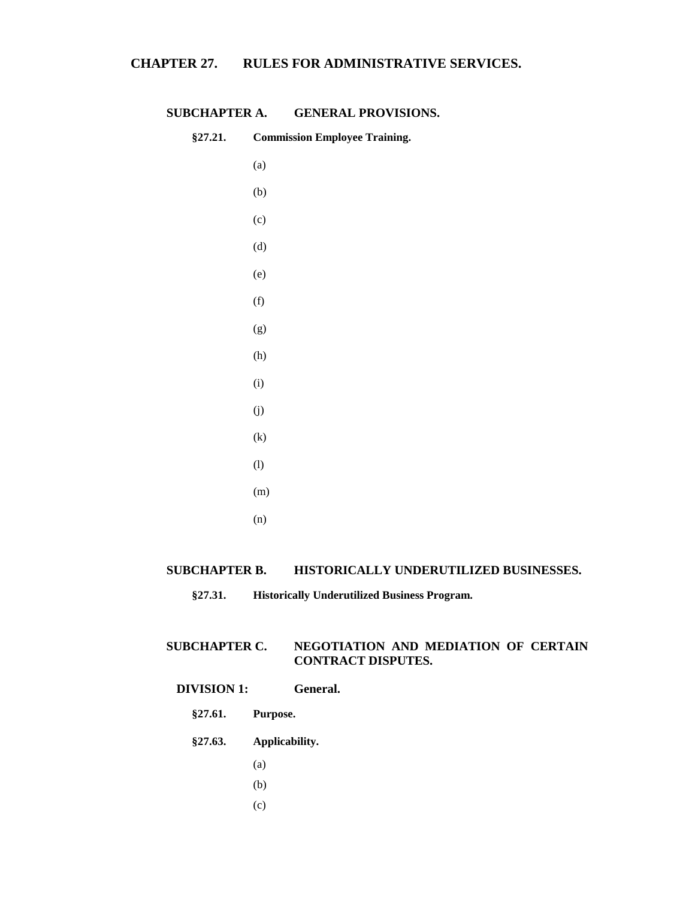| §27.21. | <b>Commission Employee Training.</b> |
|---------|--------------------------------------|
|         | (a)                                  |
|         | (b)                                  |
|         | (c)                                  |
|         | (d)                                  |
|         | (e)                                  |
|         | (f)                                  |
|         | (g)                                  |
|         | (h)                                  |
|         | (i)                                  |
|         | (j)                                  |
|         | $\left( k\right)$                    |
|         | (1)                                  |
|         | (m)                                  |
|         | (n)                                  |

# **SUBCHAPTER A. GENERAL PROVISIONS.**

# **SUBCHAPTER B. HISTORICALLY UNDERUTILIZED BUSINESSES.**

# **SUBCHAPTER C. NEGOTIATION AND MEDIATION OF CERTAIN CONTRACT DISPUTES.**

# **DIVISION 1: General.**

- **§27.61. Purpose.**
- **§27.63. Applicability.**
	- (a)
	- (b)
	- (c)

**<sup>§27.31.</sup> Historically Underutilized Business Program.**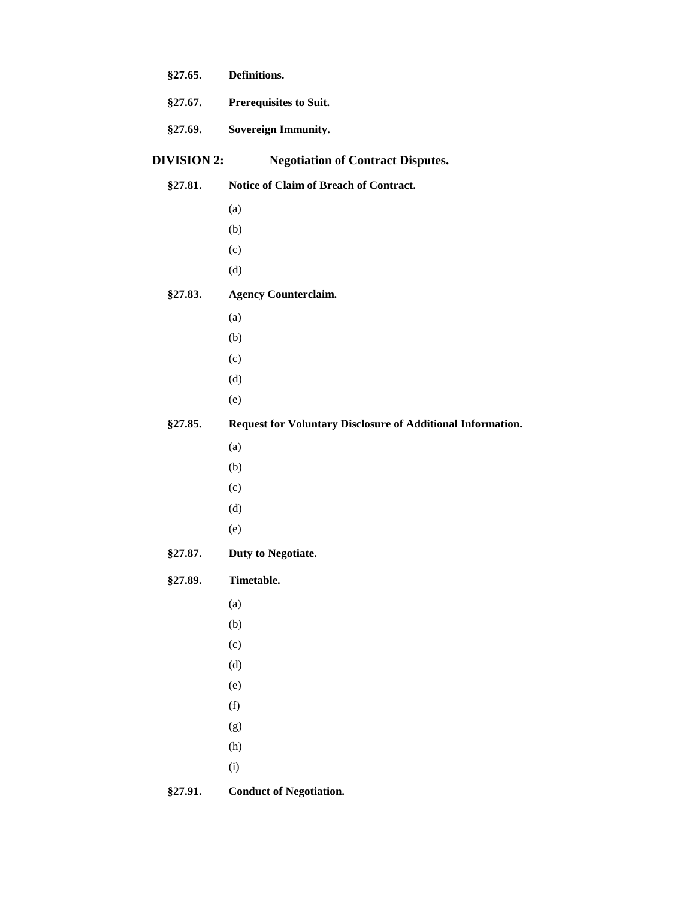| §27.65.            | Definitions.                                                |
|--------------------|-------------------------------------------------------------|
| §27.67.            | <b>Prerequisites to Suit.</b>                               |
| §27.69.            | <b>Sovereign Immunity.</b>                                  |
| <b>DIVISION 2:</b> | <b>Negotiation of Contract Disputes.</b>                    |
| §27.81.            | Notice of Claim of Breach of Contract.                      |
|                    | (a)                                                         |
|                    | (b)                                                         |
|                    | (c)                                                         |
|                    | (d)                                                         |
| §27.83.            | <b>Agency Counterclaim.</b>                                 |
|                    | (a)                                                         |
|                    | (b)                                                         |
|                    | (c)                                                         |
|                    | (d)                                                         |
|                    | (e)                                                         |
| §27.85.            | Request for Voluntary Disclosure of Additional Information. |
|                    | (a)                                                         |
|                    | (b)                                                         |
|                    | (c)                                                         |
|                    | (d)                                                         |
|                    | (e)                                                         |
| §27.87.            | Duty to Negotiate.                                          |
| <b>§27.89.</b>     | Timetable.                                                  |
|                    | (a)                                                         |
|                    | (b)                                                         |
|                    | (c)                                                         |
|                    | (d)                                                         |
|                    | (e)                                                         |
|                    | (f)                                                         |
|                    | (g)                                                         |
|                    | (h)                                                         |
|                    | (i)                                                         |
| §27.91.            | <b>Conduct of Negotiation.</b>                              |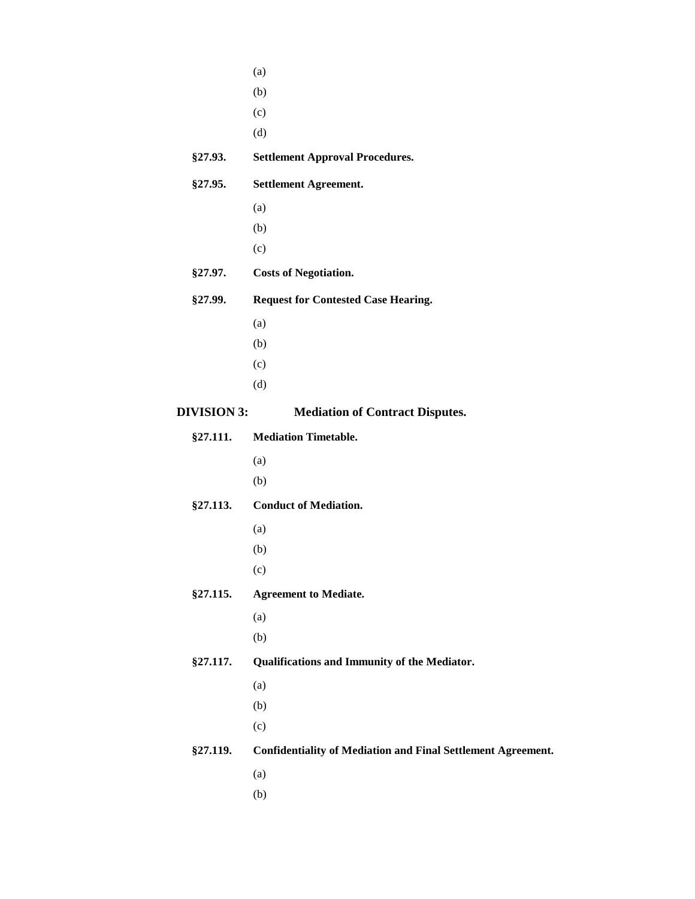|                    | (a)                                                                 |
|--------------------|---------------------------------------------------------------------|
|                    | (b)                                                                 |
|                    | (c)                                                                 |
|                    | (d)                                                                 |
| §27.93.            | <b>Settlement Approval Procedures.</b>                              |
| §27.95.            | <b>Settlement Agreement.</b>                                        |
|                    | (a)                                                                 |
|                    | (b)                                                                 |
|                    | (c)                                                                 |
| §27.97.            | <b>Costs of Negotiation.</b>                                        |
| §27.99.            | <b>Request for Contested Case Hearing.</b>                          |
|                    | (a)                                                                 |
|                    | (b)                                                                 |
|                    | (c)                                                                 |
|                    | (d)                                                                 |
| <b>DIVISION 3:</b> | <b>Mediation of Contract Disputes.</b>                              |
| §27.111.           | <b>Mediation Timetable.</b>                                         |
|                    | (a)                                                                 |
|                    | (b)                                                                 |
| §27.113.           | <b>Conduct of Mediation.</b>                                        |
|                    | (a)                                                                 |
|                    | (b)                                                                 |
|                    | (c)                                                                 |
| §27.115.           | <b>Agreement to Mediate.</b>                                        |
|                    | (a)                                                                 |
|                    | (b)                                                                 |
| §27.117.           | Qualifications and Immunity of the Mediator.                        |
|                    | (a)                                                                 |
|                    | (b)                                                                 |
|                    | (c)                                                                 |
| <b>§27.119.</b>    | <b>Confidentiality of Mediation and Final Settlement Agreement.</b> |
|                    | (a)                                                                 |
|                    | (b)                                                                 |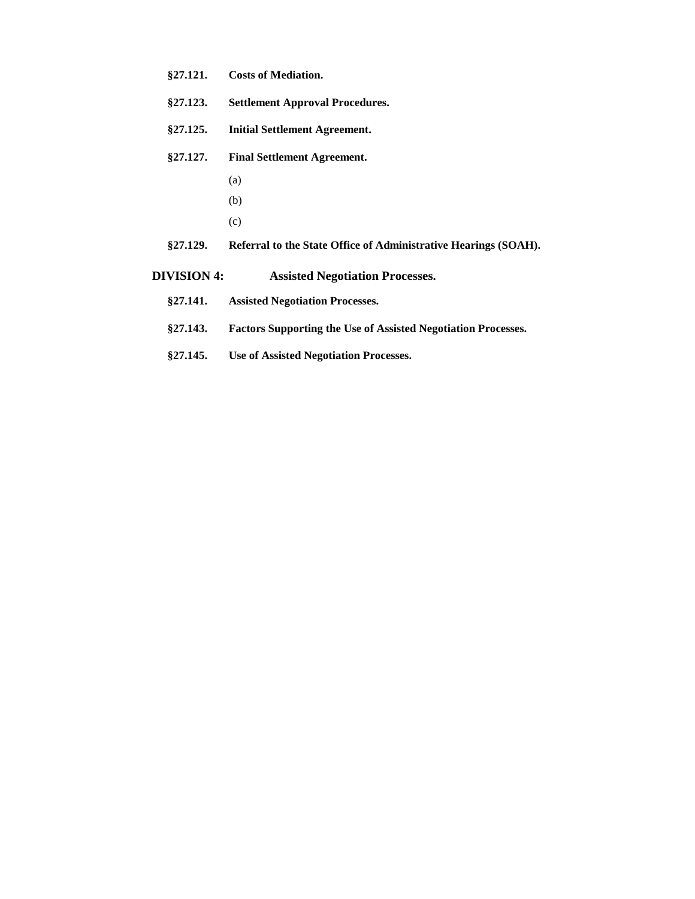- **§27.121. Costs of Mediation.**
- **§27.123. Settlement Approval Procedures.**
- **§27.125. Initial Settlement Agreement.**
- **§27.127. Final Settlement Agreement.**
	- (a)
	- (b)
	- (c)
- **§27.129. Referral to the State Office of Administrative Hearings (SOAH).**
- **DIVISION 4: Assisted Negotiation Processes.**
	- **§27.141. Assisted Negotiation Processes.**
	- **§27.143. Factors Supporting the Use of Assisted Negotiation Processes.**
	- **§27.145. Use of Assisted Negotiation Processes.**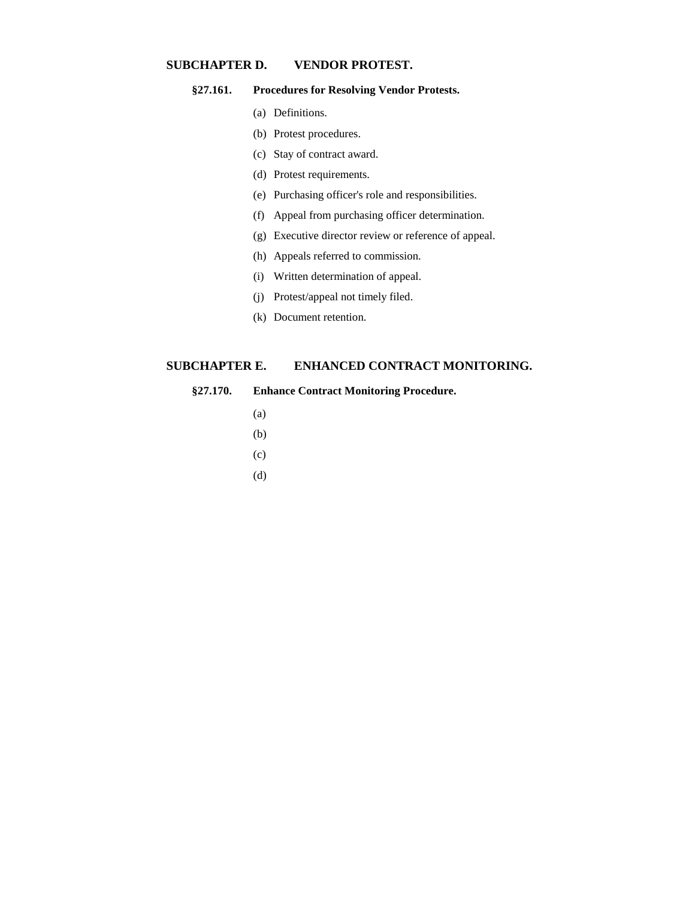# **SUBCHAPTER D. VENDOR PROTEST.**

### **§27.161. Procedures for Resolving Vendor Protests.**

- (a) Definitions.
- (b) Protest procedures.
- (c) Stay of contract award.
- (d) Protest requirements.
- (e) Purchasing officer's role and responsibilities.
- (f) Appeal from purchasing officer determination.
- (g) Executive director review or reference of appeal.
- (h) Appeals referred to commission.
- (i) Written determination of appeal.
- (j) Protest/appeal not timely filed.
- (k) Document retention.

### **SUBCHAPTER E. ENHANCED CONTRACT MONITORING.**

### **§27.170. Enhance Contract Monitoring Procedure.**

- (a)
- (b)
- (c)
- (d)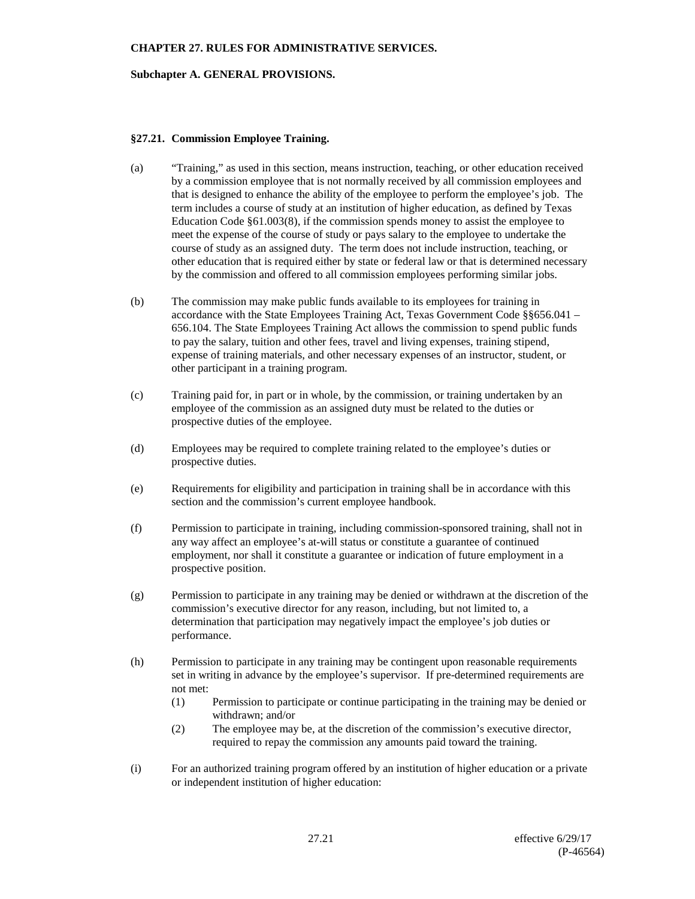### **Subchapter A. GENERAL PROVISIONS.**

### **§27.21. Commission Employee Training.**

- (a) "Training," as used in this section, means instruction, teaching, or other education received by a commission employee that is not normally received by all commission employees and that is designed to enhance the ability of the employee to perform the employee's job. The term includes a course of study at an institution of higher education, as defined by Texas Education Code §61.003(8), if the commission spends money to assist the employee to meet the expense of the course of study or pays salary to the employee to undertake the course of study as an assigned duty. The term does not include instruction, teaching, or other education that is required either by state or federal law or that is determined necessary by the commission and offered to all commission employees performing similar jobs.
- (b) The commission may make public funds available to its employees for training in accordance with the State Employees Training Act, Texas Government Code §§656.041 – 656.104. The State Employees Training Act allows the commission to spend public funds to pay the salary, tuition and other fees, travel and living expenses, training stipend, expense of training materials, and other necessary expenses of an instructor, student, or other participant in a training program.
- (c) Training paid for, in part or in whole, by the commission, or training undertaken by an employee of the commission as an assigned duty must be related to the duties or prospective duties of the employee.
- (d) Employees may be required to complete training related to the employee's duties or prospective duties.
- (e) Requirements for eligibility and participation in training shall be in accordance with this section and the commission's current employee handbook.
- (f) Permission to participate in training, including commission-sponsored training, shall not in any way affect an employee's at-will status or constitute a guarantee of continued employment, nor shall it constitute a guarantee or indication of future employment in a prospective position.
- (g) Permission to participate in any training may be denied or withdrawn at the discretion of the commission's executive director for any reason, including, but not limited to, a determination that participation may negatively impact the employee's job duties or performance.
- (h) Permission to participate in any training may be contingent upon reasonable requirements set in writing in advance by the employee's supervisor. If pre-determined requirements are not met:
	- (1) Permission to participate or continue participating in the training may be denied or withdrawn; and/or
	- (2) The employee may be, at the discretion of the commission's executive director, required to repay the commission any amounts paid toward the training.
- (i) For an authorized training program offered by an institution of higher education or a private or independent institution of higher education: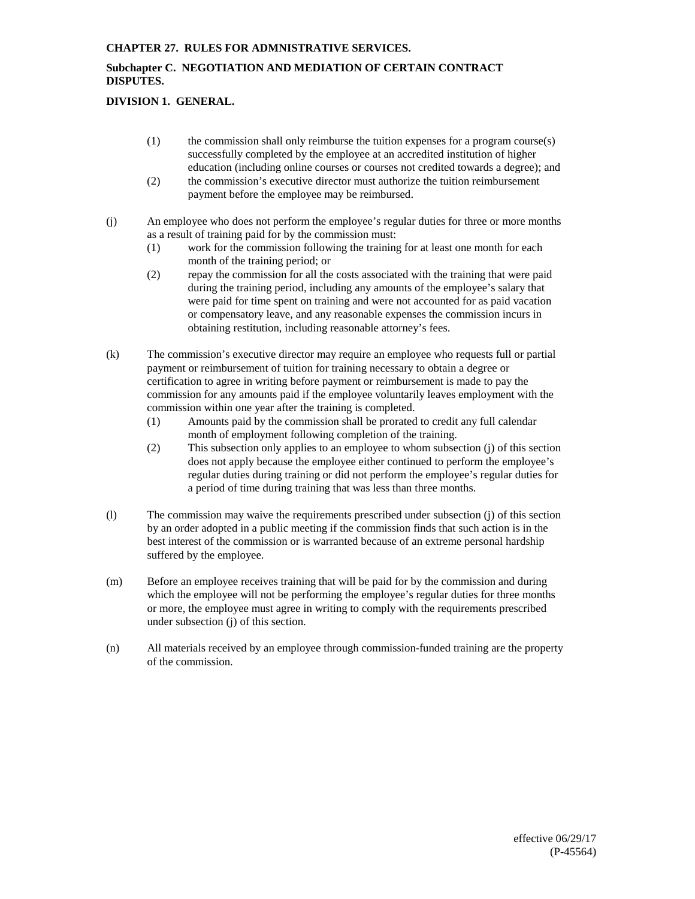# **Subchapter C. NEGOTIATION AND MEDIATION OF CERTAIN CONTRACT DISPUTES.**

# **DIVISION 1. GENERAL.**

- (1) the commission shall only reimburse the tuition expenses for a program course(s) successfully completed by the employee at an accredited institution of higher education (including online courses or courses not credited towards a degree); and
- (2) the commission's executive director must authorize the tuition reimbursement payment before the employee may be reimbursed.
- (j) An employee who does not perform the employee's regular duties for three or more months as a result of training paid for by the commission must:
	- (1) work for the commission following the training for at least one month for each month of the training period; or
	- (2) repay the commission for all the costs associated with the training that were paid during the training period, including any amounts of the employee's salary that were paid for time spent on training and were not accounted for as paid vacation or compensatory leave, and any reasonable expenses the commission incurs in obtaining restitution, including reasonable attorney's fees.
- (k) The commission's executive director may require an employee who requests full or partial payment or reimbursement of tuition for training necessary to obtain a degree or certification to agree in writing before payment or reimbursement is made to pay the commission for any amounts paid if the employee voluntarily leaves employment with the commission within one year after the training is completed.
	- (1) Amounts paid by the commission shall be prorated to credit any full calendar month of employment following completion of the training.
	- (2) This subsection only applies to an employee to whom subsection (j) of this section does not apply because the employee either continued to perform the employee's regular duties during training or did not perform the employee's regular duties for a period of time during training that was less than three months.
- (l) The commission may waive the requirements prescribed under subsection (j) of this section by an order adopted in a public meeting if the commission finds that such action is in the best interest of the commission or is warranted because of an extreme personal hardship suffered by the employee.
- (m) Before an employee receives training that will be paid for by the commission and during which the employee will not be performing the employee's regular duties for three months or more, the employee must agree in writing to comply with the requirements prescribed under subsection (j) of this section.
- (n) All materials received by an employee through commission-funded training are the property of the commission.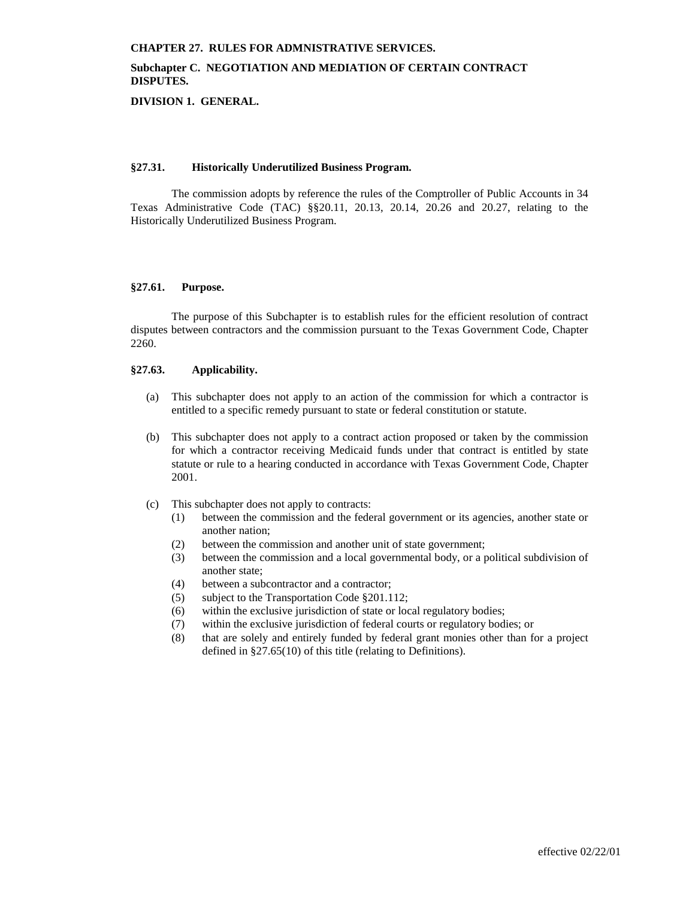# **Subchapter C. NEGOTIATION AND MEDIATION OF CERTAIN CONTRACT DISPUTES.**

**DIVISION 1. GENERAL.**

#### **§27.31. Historically Underutilized Business Program.**

The commission adopts by reference the rules of the Comptroller of Public Accounts in 34 Texas Administrative Code (TAC) §§20.11, 20.13, 20.14, 20.26 and 20.27, relating to the Historically Underutilized Business Program.

### **§27.61. Purpose.**

The purpose of this Subchapter is to establish rules for the efficient resolution of contract disputes between contractors and the commission pursuant to the Texas Government Code, Chapter 2260.

### **§27.63. Applicability.**

- (a) This subchapter does not apply to an action of the commission for which a contractor is entitled to a specific remedy pursuant to state or federal constitution or statute.
- (b) This subchapter does not apply to a contract action proposed or taken by the commission for which a contractor receiving Medicaid funds under that contract is entitled by state statute or rule to a hearing conducted in accordance with Texas Government Code, Chapter 2001.
- (c) This subchapter does not apply to contracts:
	- (1) between the commission and the federal government or its agencies, another state or another nation;
	- (2) between the commission and another unit of state government;
	- (3) between the commission and a local governmental body, or a political subdivision of another state;
	- (4) between a subcontractor and a contractor;
	- (5) subject to the Transportation Code §201.112;
	- (6) within the exclusive jurisdiction of state or local regulatory bodies;
	- (7) within the exclusive jurisdiction of federal courts or regulatory bodies; or
	- (8) that are solely and entirely funded by federal grant monies other than for a project defined in §27.65(10) of this title (relating to Definitions).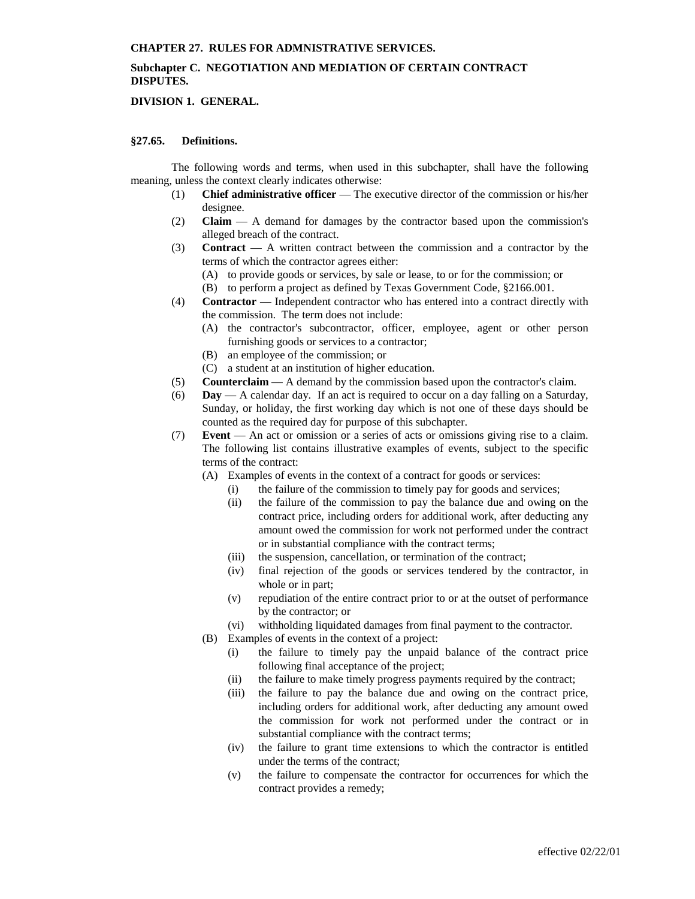# **Subchapter C. NEGOTIATION AND MEDIATION OF CERTAIN CONTRACT DISPUTES.**

### **DIVISION 1. GENERAL.**

#### **§27.65. Definitions.**

The following words and terms, when used in this subchapter, shall have the following meaning, unless the context clearly indicates otherwise:

- (1) **Chief administrative officer** The executive director of the commission or his/her designee.
- (2) **Claim** A demand for damages by the contractor based upon the commission's alleged breach of the contract.
- (3) **Contract** A written contract between the commission and a contractor by the terms of which the contractor agrees either:
	- (A) to provide goods or services, by sale or lease, to or for the commission; or
	- (B) to perform a project as defined by Texas Government Code, §2166.001.
- (4) **Contractor** Independent contractor who has entered into a contract directly with the commission. The term does not include:
	- (A) the contractor's subcontractor, officer, employee, agent or other person furnishing goods or services to a contractor;
	- (B) an employee of the commission; or
	- (C) a student at an institution of higher education.
- (5) **Counterclaim** A demand by the commission based upon the contractor's claim.
- (6) **Day** A calendar day. If an act is required to occur on a day falling on a Saturday, Sunday, or holiday, the first working day which is not one of these days should be counted as the required day for purpose of this subchapter.
- (7) **Event** An act or omission or a series of acts or omissions giving rise to a claim. The following list contains illustrative examples of events, subject to the specific terms of the contract:
	- (A) Examples of events in the context of a contract for goods or services:
		- (i) the failure of the commission to timely pay for goods and services;
		- (ii) the failure of the commission to pay the balance due and owing on the contract price, including orders for additional work, after deducting any amount owed the commission for work not performed under the contract or in substantial compliance with the contract terms;
		- (iii) the suspension, cancellation, or termination of the contract;
		- (iv) final rejection of the goods or services tendered by the contractor, in whole or in part;
		- (v) repudiation of the entire contract prior to or at the outset of performance by the contractor; or
		- (vi) withholding liquidated damages from final payment to the contractor.
	- (B) Examples of events in the context of a project:
		- (i) the failure to timely pay the unpaid balance of the contract price following final acceptance of the project;
		- (ii) the failure to make timely progress payments required by the contract;
		- (iii) the failure to pay the balance due and owing on the contract price, including orders for additional work, after deducting any amount owed the commission for work not performed under the contract or in substantial compliance with the contract terms;
		- (iv) the failure to grant time extensions to which the contractor is entitled under the terms of the contract;
		- (v) the failure to compensate the contractor for occurrences for which the contract provides a remedy;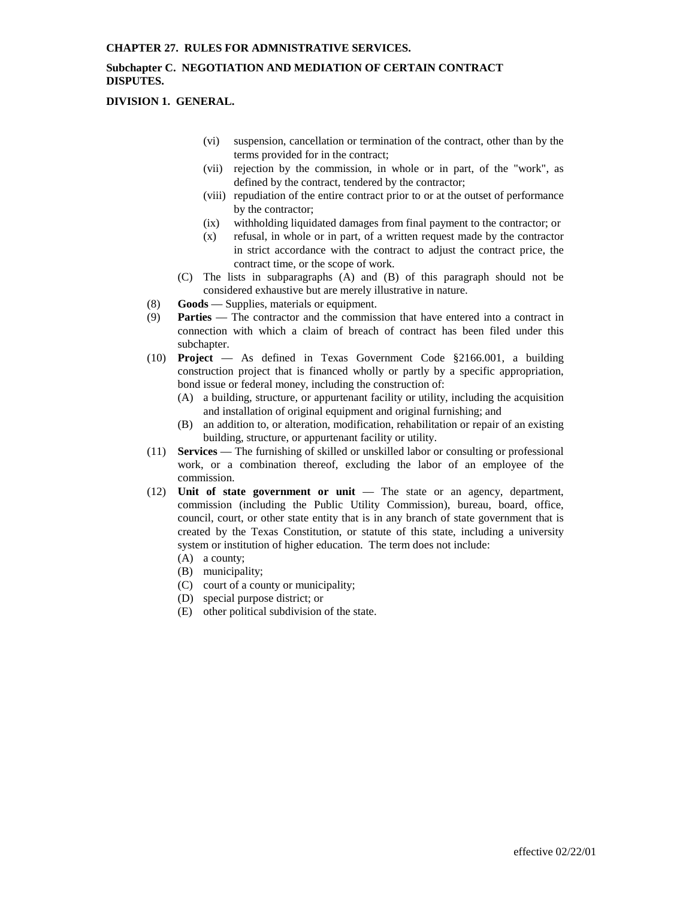# **Subchapter C. NEGOTIATION AND MEDIATION OF CERTAIN CONTRACT DISPUTES.**

**DIVISION 1. GENERAL.**

- (vi) suspension, cancellation or termination of the contract, other than by the terms provided for in the contract;
- (vii) rejection by the commission, in whole or in part, of the "work", as defined by the contract, tendered by the contractor;
- (viii) repudiation of the entire contract prior to or at the outset of performance by the contractor;
- (ix) withholding liquidated damages from final payment to the contractor; or
- (x) refusal, in whole or in part, of a written request made by the contractor in strict accordance with the contract to adjust the contract price, the contract time, or the scope of work.
- (C) The lists in subparagraphs (A) and (B) of this paragraph should not be considered exhaustive but are merely illustrative in nature.
- (8) **Goods** Supplies, materials or equipment.
- (9) **Parties** The contractor and the commission that have entered into a contract in connection with which a claim of breach of contract has been filed under this subchapter.
- (10) **Project** As defined in Texas Government Code §2166.001, a building construction project that is financed wholly or partly by a specific appropriation, bond issue or federal money, including the construction of:
	- (A) a building, structure, or appurtenant facility or utility, including the acquisition and installation of original equipment and original furnishing; and
	- (B) an addition to, or alteration, modification, rehabilitation or repair of an existing building, structure, or appurtenant facility or utility.
- (11) **Services** The furnishing of skilled or unskilled labor or consulting or professional work, or a combination thereof, excluding the labor of an employee of the commission.
- (12) **Unit of state government or unit** The state or an agency, department, commission (including the Public Utility Commission), bureau, board, office, council, court, or other state entity that is in any branch of state government that is created by the Texas Constitution, or statute of this state, including a university system or institution of higher education. The term does not include:
	- (A) a county;
	- (B) municipality;
	- (C) court of a county or municipality;
	- (D) special purpose district; or
	- (E) other political subdivision of the state.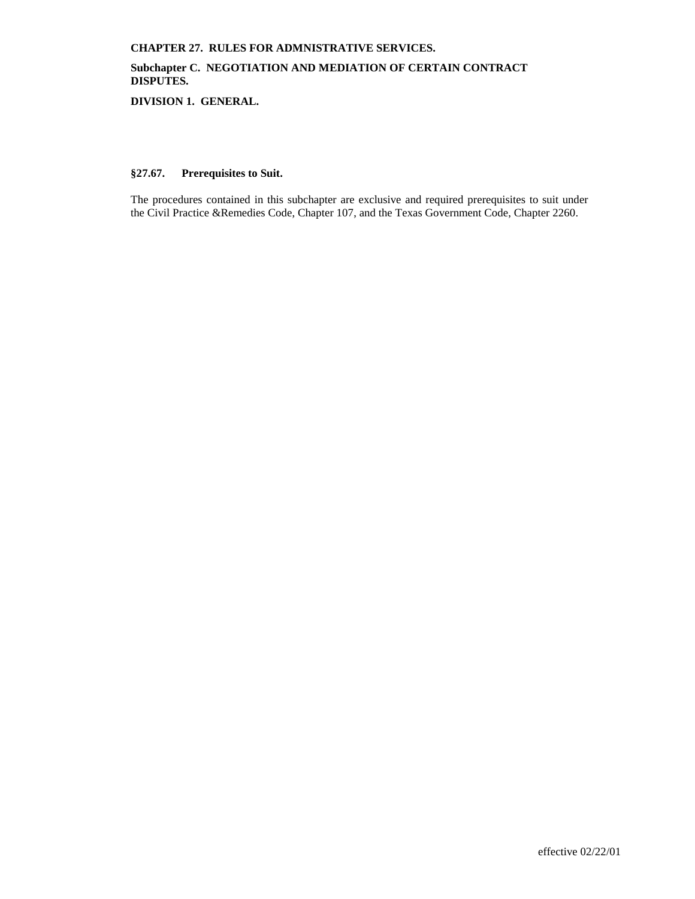# **Subchapter C. NEGOTIATION AND MEDIATION OF CERTAIN CONTRACT DISPUTES.**

**DIVISION 1. GENERAL.**

### **§27.67. Prerequisites to Suit.**

The procedures contained in this subchapter are exclusive and required prerequisites to suit under the Civil Practice &Remedies Code, Chapter 107, and the Texas Government Code, Chapter 2260.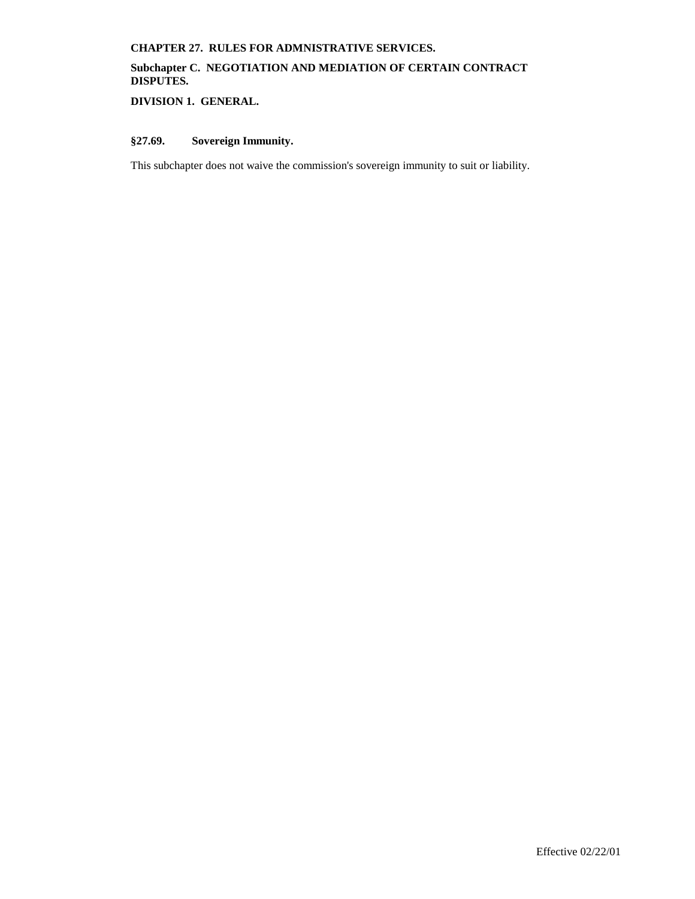# **Subchapter C. NEGOTIATION AND MEDIATION OF CERTAIN CONTRACT DISPUTES.**

**DIVISION 1. GENERAL.**

# **§27.69. Sovereign Immunity.**

This subchapter does not waive the commission's sovereign immunity to suit or liability.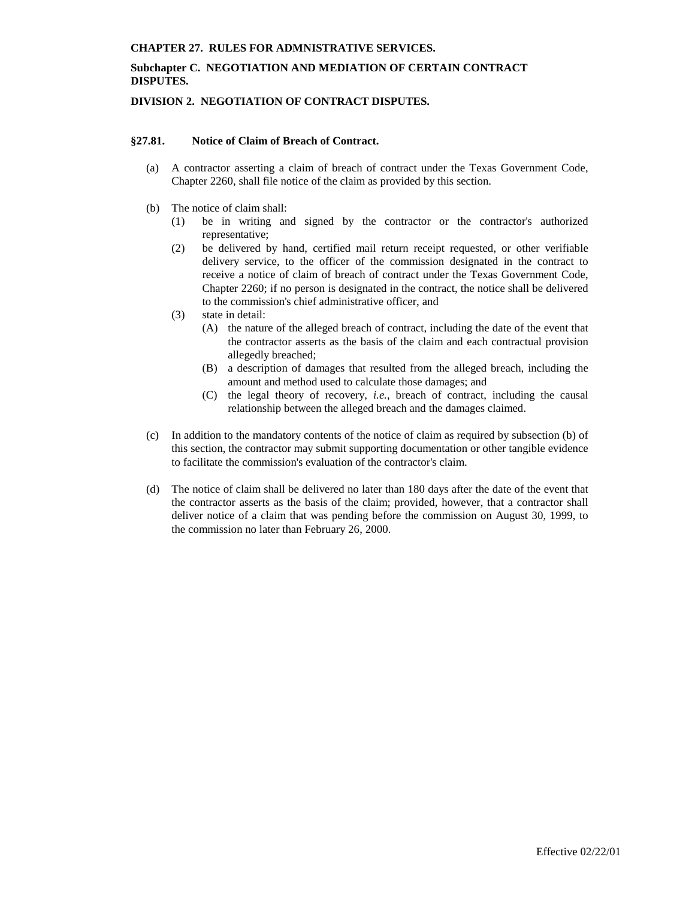# **Subchapter C. NEGOTIATION AND MEDIATION OF CERTAIN CONTRACT DISPUTES.**

### **DIVISION 2. NEGOTIATION OF CONTRACT DISPUTES.**

### **§27.81. Notice of Claim of Breach of Contract.**

- (a) A contractor asserting a claim of breach of contract under the Texas Government Code, Chapter 2260, shall file notice of the claim as provided by this section.
- (b) The notice of claim shall:
	- (1) be in writing and signed by the contractor or the contractor's authorized representative;
	- (2) be delivered by hand, certified mail return receipt requested, or other verifiable delivery service, to the officer of the commission designated in the contract to receive a notice of claim of breach of contract under the Texas Government Code, Chapter 2260; if no person is designated in the contract, the notice shall be delivered to the commission's chief administrative officer, and
	- (3) state in detail:
		- (A) the nature of the alleged breach of contract, including the date of the event that the contractor asserts as the basis of the claim and each contractual provision allegedly breached;
		- (B) a description of damages that resulted from the alleged breach, including the amount and method used to calculate those damages; and
		- (C) the legal theory of recovery, *i.e.*, breach of contract, including the causal relationship between the alleged breach and the damages claimed.
- (c) In addition to the mandatory contents of the notice of claim as required by subsection (b) of this section, the contractor may submit supporting documentation or other tangible evidence to facilitate the commission's evaluation of the contractor's claim.
- (d) The notice of claim shall be delivered no later than 180 days after the date of the event that the contractor asserts as the basis of the claim; provided, however, that a contractor shall deliver notice of a claim that was pending before the commission on August 30, 1999, to the commission no later than February 26, 2000.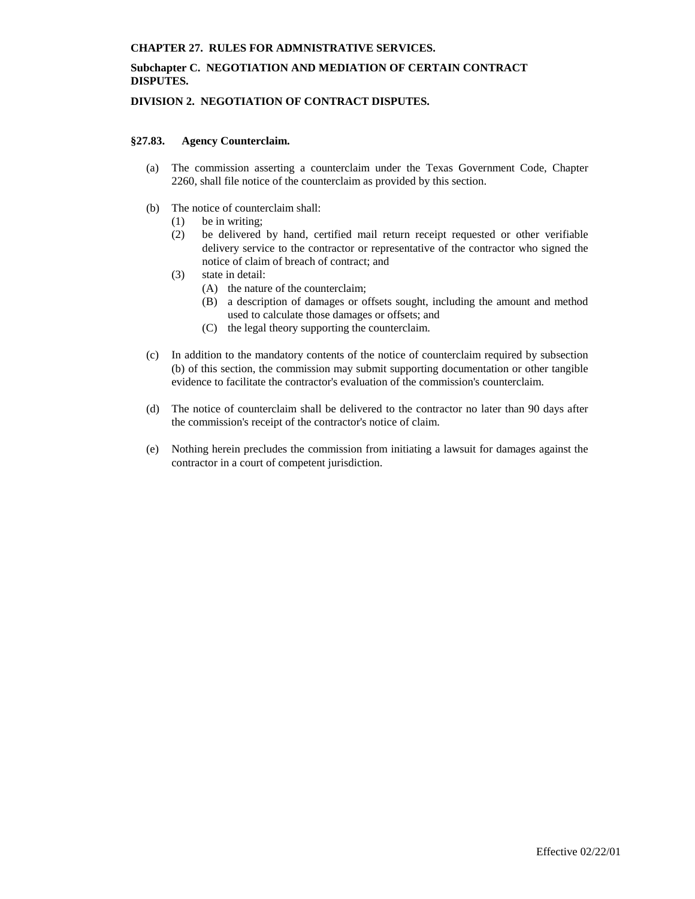# **Subchapter C. NEGOTIATION AND MEDIATION OF CERTAIN CONTRACT DISPUTES.**

### **DIVISION 2. NEGOTIATION OF CONTRACT DISPUTES.**

### **§27.83. Agency Counterclaim.**

- (a) The commission asserting a counterclaim under the Texas Government Code, Chapter 2260, shall file notice of the counterclaim as provided by this section.
- (b) The notice of counterclaim shall:
	- (1) be in writing;
	- (2) be delivered by hand, certified mail return receipt requested or other verifiable delivery service to the contractor or representative of the contractor who signed the notice of claim of breach of contract; and
	- (3) state in detail:
		- (A) the nature of the counterclaim;
		- (B) a description of damages or offsets sought, including the amount and method used to calculate those damages or offsets; and
		- (C) the legal theory supporting the counterclaim.
- (c) In addition to the mandatory contents of the notice of counterclaim required by subsection (b) of this section, the commission may submit supporting documentation or other tangible evidence to facilitate the contractor's evaluation of the commission's counterclaim.
- (d) The notice of counterclaim shall be delivered to the contractor no later than 90 days after the commission's receipt of the contractor's notice of claim.
- (e) Nothing herein precludes the commission from initiating a lawsuit for damages against the contractor in a court of competent jurisdiction.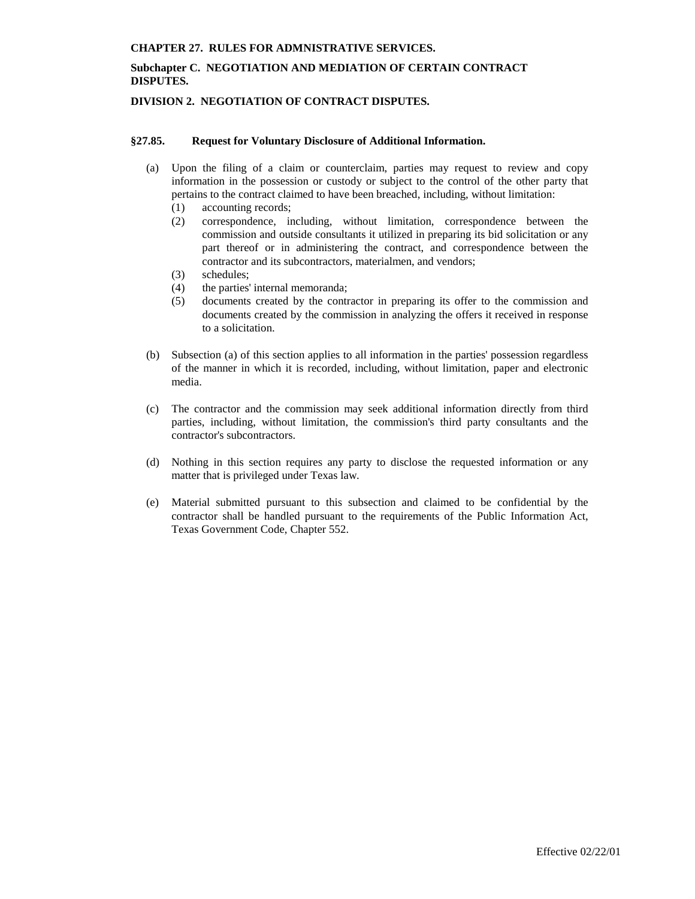## **Subchapter C. NEGOTIATION AND MEDIATION OF CERTAIN CONTRACT DISPUTES.**

### **DIVISION 2. NEGOTIATION OF CONTRACT DISPUTES.**

#### **§27.85. Request for Voluntary Disclosure of Additional Information.**

- (a) Upon the filing of a claim or counterclaim, parties may request to review and copy information in the possession or custody or subject to the control of the other party that pertains to the contract claimed to have been breached, including, without limitation:
	- (1) accounting records;
	- (2) correspondence, including, without limitation, correspondence between the commission and outside consultants it utilized in preparing its bid solicitation or any part thereof or in administering the contract, and correspondence between the contractor and its subcontractors, materialmen, and vendors;
	- (3) schedules;
	- (4) the parties' internal memoranda;
	- (5) documents created by the contractor in preparing its offer to the commission and documents created by the commission in analyzing the offers it received in response to a solicitation.
- (b) Subsection (a) of this section applies to all information in the parties' possession regardless of the manner in which it is recorded, including, without limitation, paper and electronic media.
- (c) The contractor and the commission may seek additional information directly from third parties, including, without limitation, the commission's third party consultants and the contractor's subcontractors.
- (d) Nothing in this section requires any party to disclose the requested information or any matter that is privileged under Texas law.
- (e) Material submitted pursuant to this subsection and claimed to be confidential by the contractor shall be handled pursuant to the requirements of the Public Information Act, Texas Government Code, Chapter 552.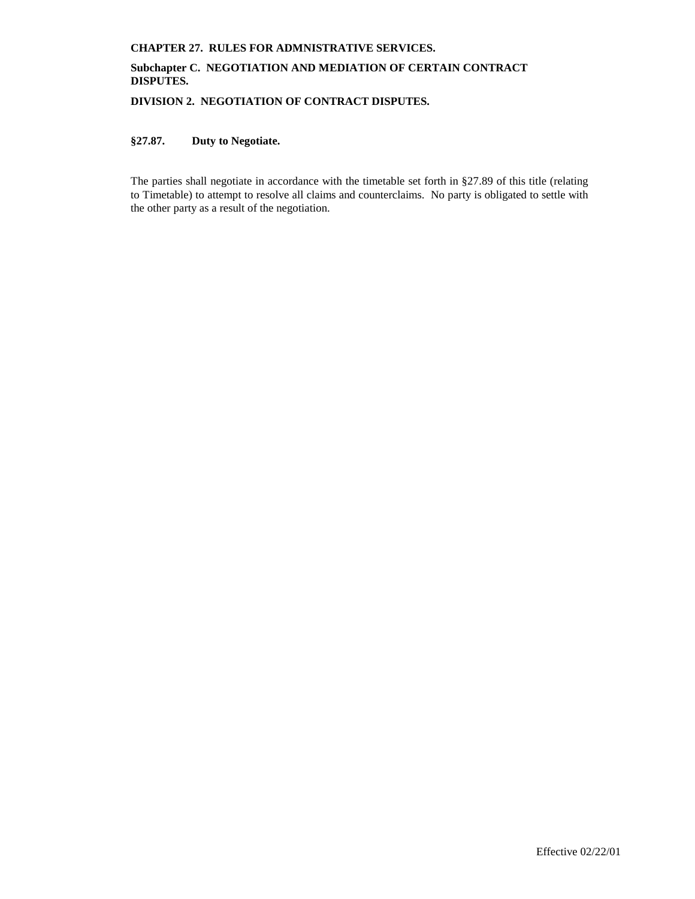# **Subchapter C. NEGOTIATION AND MEDIATION OF CERTAIN CONTRACT DISPUTES.**

**DIVISION 2. NEGOTIATION OF CONTRACT DISPUTES.**

# **§27.87. Duty to Negotiate.**

The parties shall negotiate in accordance with the timetable set forth in §27.89 of this title (relating to Timetable) to attempt to resolve all claims and counterclaims. No party is obligated to settle with the other party as a result of the negotiation.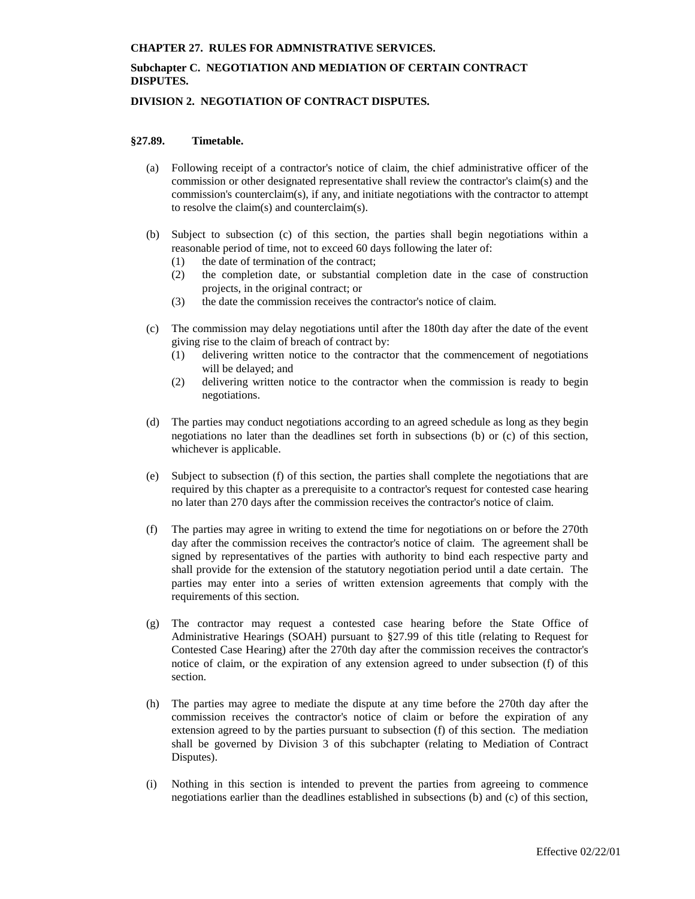# **Subchapter C. NEGOTIATION AND MEDIATION OF CERTAIN CONTRACT DISPUTES.**

### **DIVISION 2. NEGOTIATION OF CONTRACT DISPUTES.**

#### **§27.89. Timetable.**

- (a) Following receipt of a contractor's notice of claim, the chief administrative officer of the commission or other designated representative shall review the contractor's claim(s) and the commission's counterclaim(s), if any, and initiate negotiations with the contractor to attempt to resolve the claim(s) and counterclaim(s).
- (b) Subject to subsection (c) of this section, the parties shall begin negotiations within a reasonable period of time, not to exceed 60 days following the later of:
	- (1) the date of termination of the contract;
	- (2) the completion date, or substantial completion date in the case of construction projects, in the original contract; or
	- (3) the date the commission receives the contractor's notice of claim.
- (c) The commission may delay negotiations until after the 180th day after the date of the event giving rise to the claim of breach of contract by:
	- (1) delivering written notice to the contractor that the commencement of negotiations will be delayed; and
	- (2) delivering written notice to the contractor when the commission is ready to begin negotiations.
- (d) The parties may conduct negotiations according to an agreed schedule as long as they begin negotiations no later than the deadlines set forth in subsections (b) or (c) of this section, whichever is applicable.
- (e) Subject to subsection (f) of this section, the parties shall complete the negotiations that are required by this chapter as a prerequisite to a contractor's request for contested case hearing no later than 270 days after the commission receives the contractor's notice of claim.
- (f) The parties may agree in writing to extend the time for negotiations on or before the 270th day after the commission receives the contractor's notice of claim. The agreement shall be signed by representatives of the parties with authority to bind each respective party and shall provide for the extension of the statutory negotiation period until a date certain. The parties may enter into a series of written extension agreements that comply with the requirements of this section.
- (g) The contractor may request a contested case hearing before the State Office of Administrative Hearings (SOAH) pursuant to §27.99 of this title (relating to Request for Contested Case Hearing) after the 270th day after the commission receives the contractor's notice of claim, or the expiration of any extension agreed to under subsection (f) of this section.
- (h) The parties may agree to mediate the dispute at any time before the 270th day after the commission receives the contractor's notice of claim or before the expiration of any extension agreed to by the parties pursuant to subsection (f) of this section. The mediation shall be governed by Division 3 of this subchapter (relating to Mediation of Contract Disputes).
- (i) Nothing in this section is intended to prevent the parties from agreeing to commence negotiations earlier than the deadlines established in subsections (b) and (c) of this section,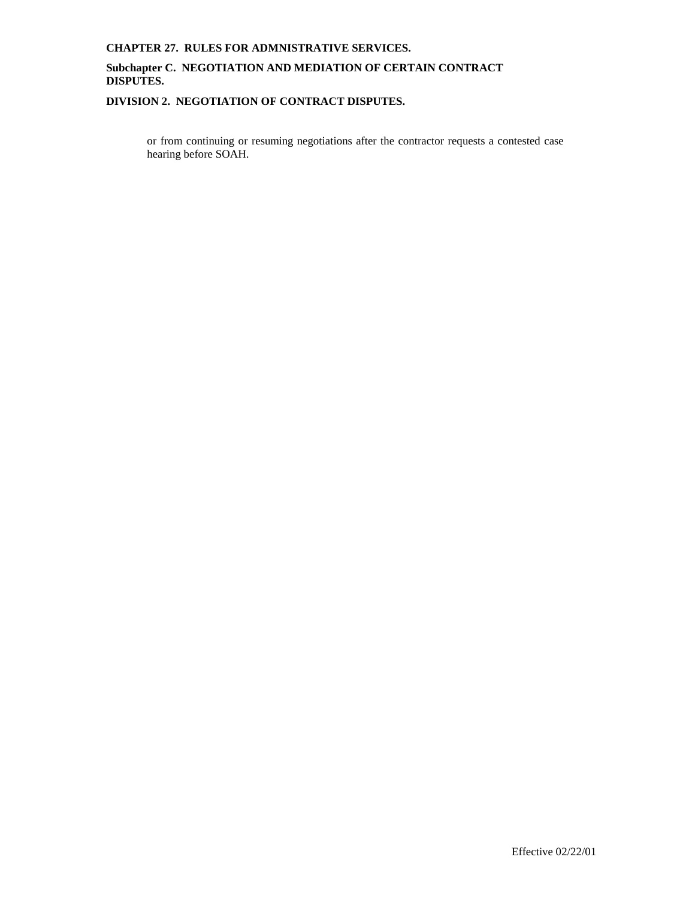# **Subchapter C. NEGOTIATION AND MEDIATION OF CERTAIN CONTRACT DISPUTES.**

# **DIVISION 2. NEGOTIATION OF CONTRACT DISPUTES.**

or from continuing or resuming negotiations after the contractor requests a contested case hearing before SOAH.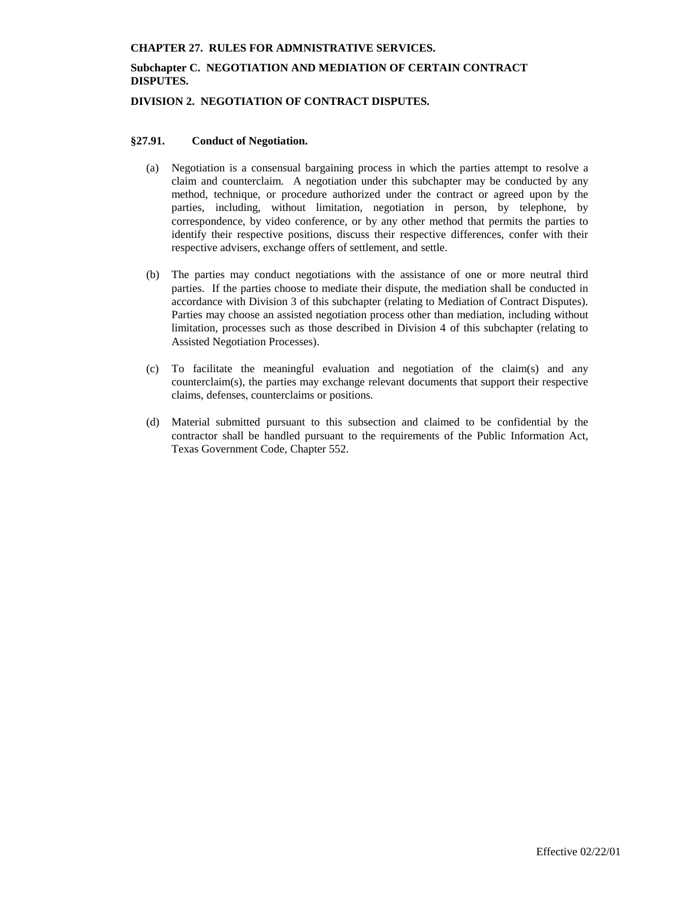# **Subchapter C. NEGOTIATION AND MEDIATION OF CERTAIN CONTRACT DISPUTES.**

### **DIVISION 2. NEGOTIATION OF CONTRACT DISPUTES.**

### **§27.91. Conduct of Negotiation.**

- (a) Negotiation is a consensual bargaining process in which the parties attempt to resolve a claim and counterclaim. A negotiation under this subchapter may be conducted by any method, technique, or procedure authorized under the contract or agreed upon by the parties, including, without limitation, negotiation in person, by telephone, by correspondence, by video conference, or by any other method that permits the parties to identify their respective positions, discuss their respective differences, confer with their respective advisers, exchange offers of settlement, and settle.
- (b) The parties may conduct negotiations with the assistance of one or more neutral third parties. If the parties choose to mediate their dispute, the mediation shall be conducted in accordance with Division 3 of this subchapter (relating to Mediation of Contract Disputes). Parties may choose an assisted negotiation process other than mediation, including without limitation, processes such as those described in Division 4 of this subchapter (relating to Assisted Negotiation Processes).
- (c) To facilitate the meaningful evaluation and negotiation of the claim(s) and any counterclaim(s), the parties may exchange relevant documents that support their respective claims, defenses, counterclaims or positions.
- (d) Material submitted pursuant to this subsection and claimed to be confidential by the contractor shall be handled pursuant to the requirements of the Public Information Act, Texas Government Code, Chapter 552.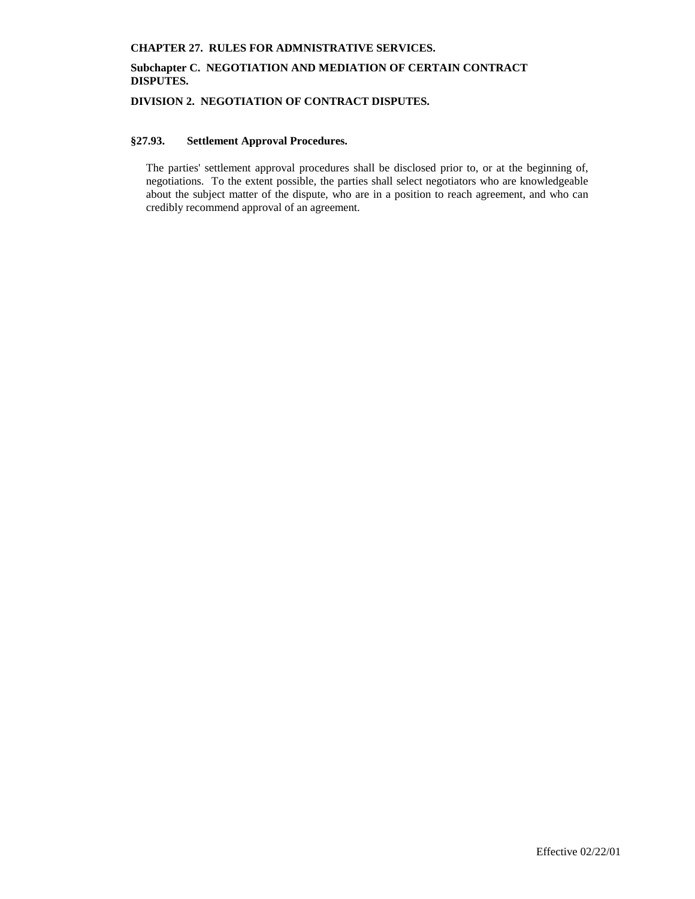# **Subchapter C. NEGOTIATION AND MEDIATION OF CERTAIN CONTRACT DISPUTES.**

**DIVISION 2. NEGOTIATION OF CONTRACT DISPUTES.**

# **§27.93. Settlement Approval Procedures.**

The parties' settlement approval procedures shall be disclosed prior to, or at the beginning of, negotiations. To the extent possible, the parties shall select negotiators who are knowledgeable about the subject matter of the dispute, who are in a position to reach agreement, and who can credibly recommend approval of an agreement.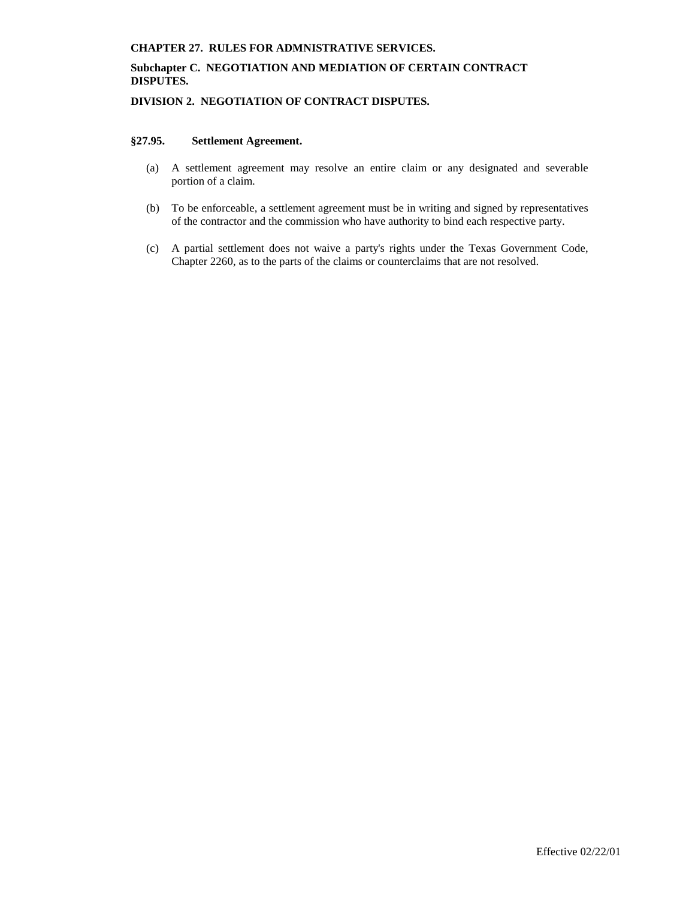# **Subchapter C. NEGOTIATION AND MEDIATION OF CERTAIN CONTRACT DISPUTES.**

**DIVISION 2. NEGOTIATION OF CONTRACT DISPUTES.**

## **§27.95. Settlement Agreement.**

- (a) A settlement agreement may resolve an entire claim or any designated and severable portion of a claim.
- (b) To be enforceable, a settlement agreement must be in writing and signed by representatives of the contractor and the commission who have authority to bind each respective party.
- (c) A partial settlement does not waive a party's rights under the Texas Government Code, Chapter 2260, as to the parts of the claims or counterclaims that are not resolved.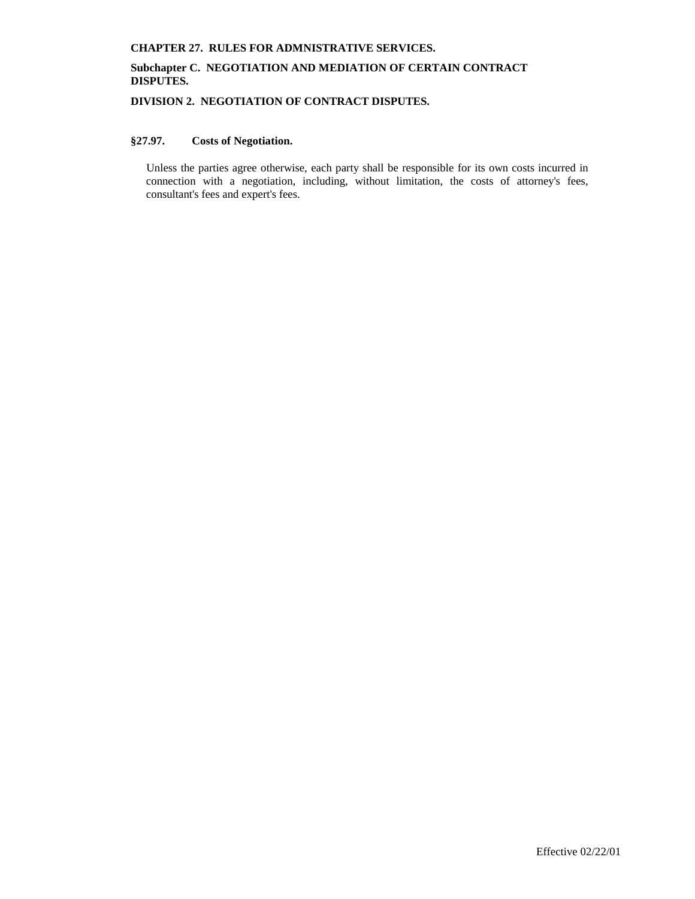# **Subchapter C. NEGOTIATION AND MEDIATION OF CERTAIN CONTRACT DISPUTES.**

**DIVISION 2. NEGOTIATION OF CONTRACT DISPUTES.**

# **§27.97. Costs of Negotiation.**

Unless the parties agree otherwise, each party shall be responsible for its own costs incurred in connection with a negotiation, including, without limitation, the costs of attorney's fees, consultant's fees and expert's fees.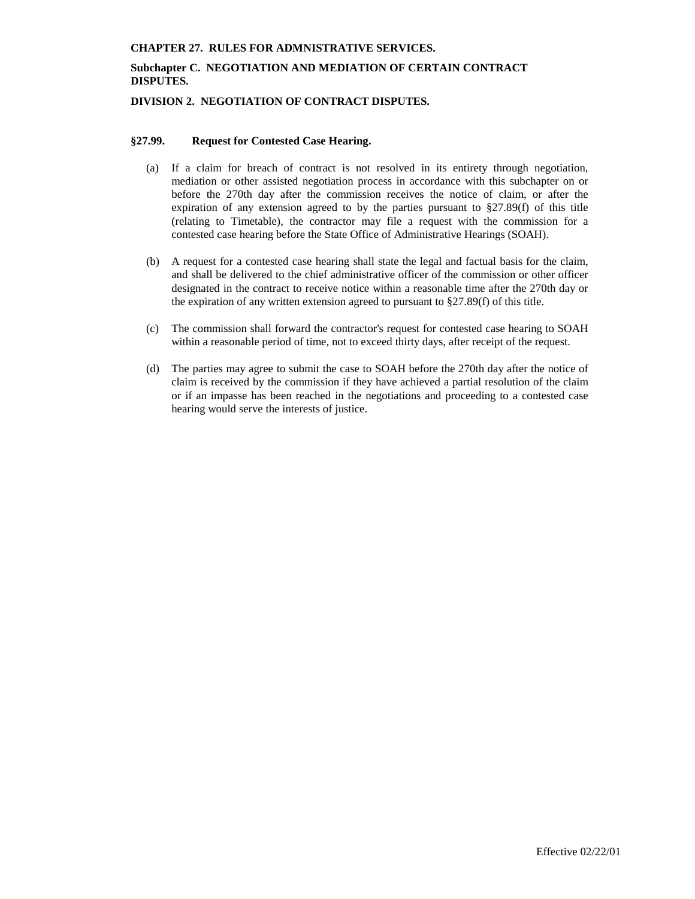# **Subchapter C. NEGOTIATION AND MEDIATION OF CERTAIN CONTRACT DISPUTES.**

### **DIVISION 2. NEGOTIATION OF CONTRACT DISPUTES.**

### **§27.99. Request for Contested Case Hearing.**

- (a) If a claim for breach of contract is not resolved in its entirety through negotiation, mediation or other assisted negotiation process in accordance with this subchapter on or before the 270th day after the commission receives the notice of claim, or after the expiration of any extension agreed to by the parties pursuant to §27.89(f) of this title (relating to Timetable), the contractor may file a request with the commission for a contested case hearing before the State Office of Administrative Hearings (SOAH).
- (b) A request for a contested case hearing shall state the legal and factual basis for the claim, and shall be delivered to the chief administrative officer of the commission or other officer designated in the contract to receive notice within a reasonable time after the 270th day or the expiration of any written extension agreed to pursuant to §27.89(f) of this title.
- (c) The commission shall forward the contractor's request for contested case hearing to SOAH within a reasonable period of time, not to exceed thirty days, after receipt of the request.
- (d) The parties may agree to submit the case to SOAH before the 270th day after the notice of claim is received by the commission if they have achieved a partial resolution of the claim or if an impasse has been reached in the negotiations and proceeding to a contested case hearing would serve the interests of justice.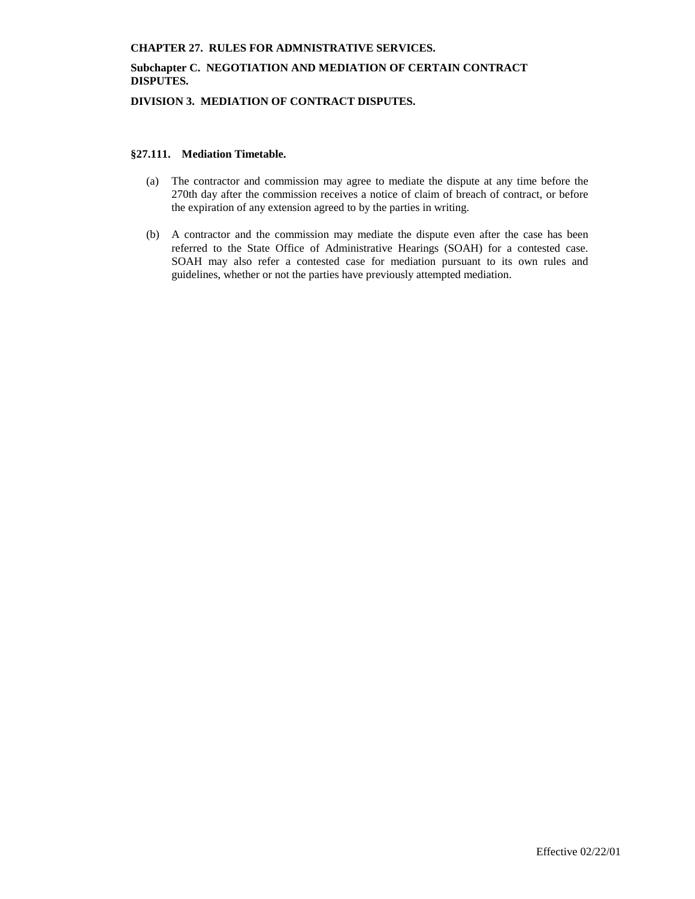# **Subchapter C. NEGOTIATION AND MEDIATION OF CERTAIN CONTRACT DISPUTES.**

**DIVISION 3. MEDIATION OF CONTRACT DISPUTES.**

### **§27.111. Mediation Timetable.**

- (a) The contractor and commission may agree to mediate the dispute at any time before the 270th day after the commission receives a notice of claim of breach of contract, or before the expiration of any extension agreed to by the parties in writing.
- (b) A contractor and the commission may mediate the dispute even after the case has been referred to the State Office of Administrative Hearings (SOAH) for a contested case. SOAH may also refer a contested case for mediation pursuant to its own rules and guidelines, whether or not the parties have previously attempted mediation.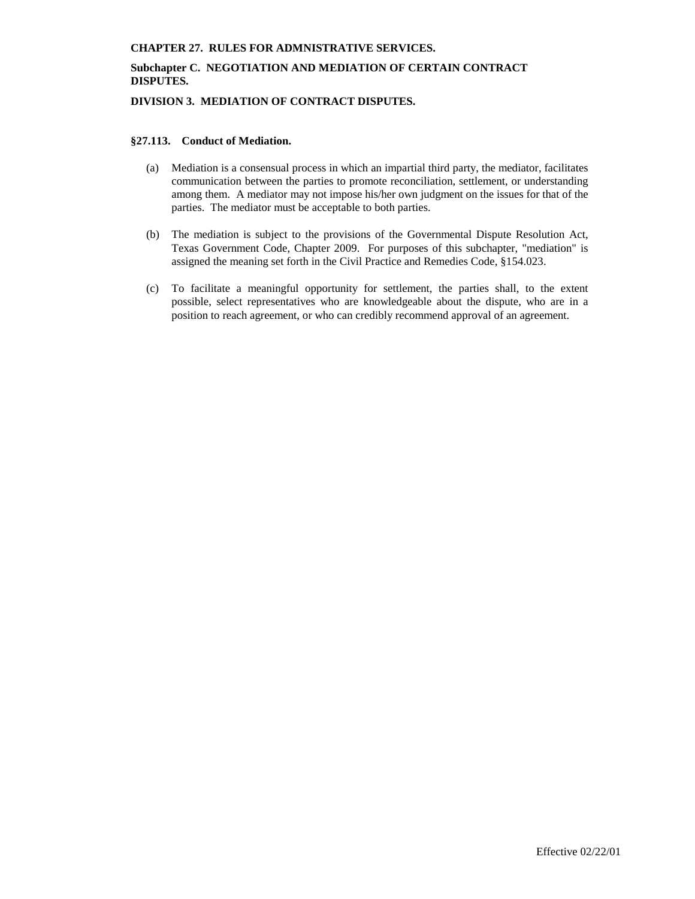# **Subchapter C. NEGOTIATION AND MEDIATION OF CERTAIN CONTRACT DISPUTES.**

**DIVISION 3. MEDIATION OF CONTRACT DISPUTES.**

### **§27.113. Conduct of Mediation.**

- (a) Mediation is a consensual process in which an impartial third party, the mediator, facilitates communication between the parties to promote reconciliation, settlement, or understanding among them. A mediator may not impose his/her own judgment on the issues for that of the parties. The mediator must be acceptable to both parties.
- (b) The mediation is subject to the provisions of the Governmental Dispute Resolution Act, Texas Government Code, Chapter 2009. For purposes of this subchapter, "mediation" is assigned the meaning set forth in the Civil Practice and Remedies Code, §154.023.
- (c) To facilitate a meaningful opportunity for settlement, the parties shall, to the extent possible, select representatives who are knowledgeable about the dispute, who are in a position to reach agreement, or who can credibly recommend approval of an agreement.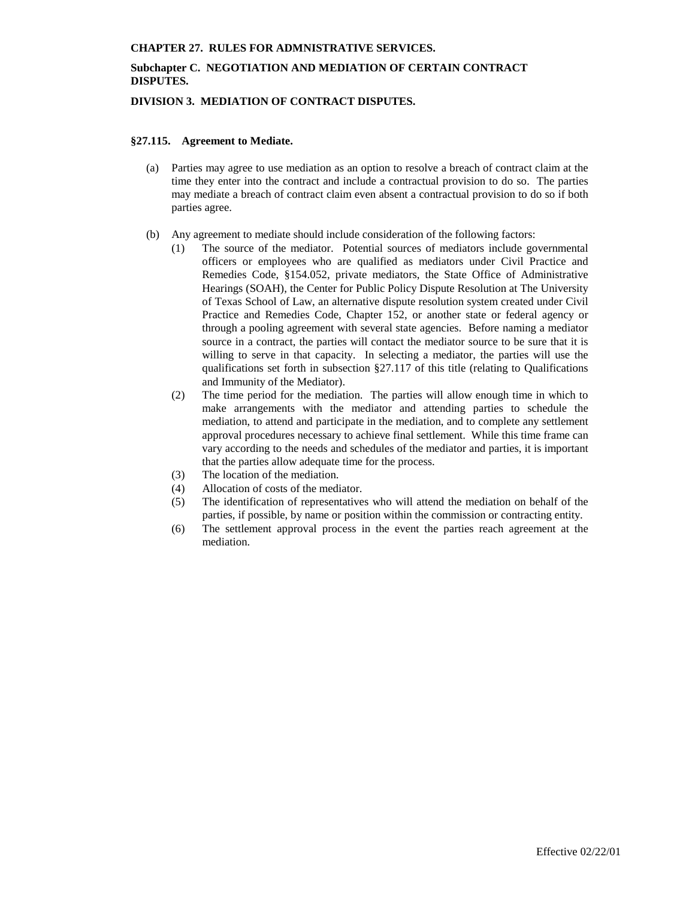# **Subchapter C. NEGOTIATION AND MEDIATION OF CERTAIN CONTRACT DISPUTES.**

## **DIVISION 3. MEDIATION OF CONTRACT DISPUTES.**

### **§27.115. Agreement to Mediate.**

- (a) Parties may agree to use mediation as an option to resolve a breach of contract claim at the time they enter into the contract and include a contractual provision to do so. The parties may mediate a breach of contract claim even absent a contractual provision to do so if both parties agree.
- (b) Any agreement to mediate should include consideration of the following factors:
	- (1) The source of the mediator. Potential sources of mediators include governmental officers or employees who are qualified as mediators under Civil Practice and Remedies Code, §154.052, private mediators, the State Office of Administrative Hearings (SOAH), the Center for Public Policy Dispute Resolution at The University of Texas School of Law, an alternative dispute resolution system created under Civil Practice and Remedies Code, Chapter 152, or another state or federal agency or through a pooling agreement with several state agencies. Before naming a mediator source in a contract, the parties will contact the mediator source to be sure that it is willing to serve in that capacity. In selecting a mediator, the parties will use the qualifications set forth in subsection §27.117 of this title (relating to Qualifications and Immunity of the Mediator).
	- (2) The time period for the mediation. The parties will allow enough time in which to make arrangements with the mediator and attending parties to schedule the mediation, to attend and participate in the mediation, and to complete any settlement approval procedures necessary to achieve final settlement. While this time frame can vary according to the needs and schedules of the mediator and parties, it is important that the parties allow adequate time for the process.
	- (3) The location of the mediation.
	- (4) Allocation of costs of the mediator.
	- (5) The identification of representatives who will attend the mediation on behalf of the parties, if possible, by name or position within the commission or contracting entity.
	- (6) The settlement approval process in the event the parties reach agreement at the mediation.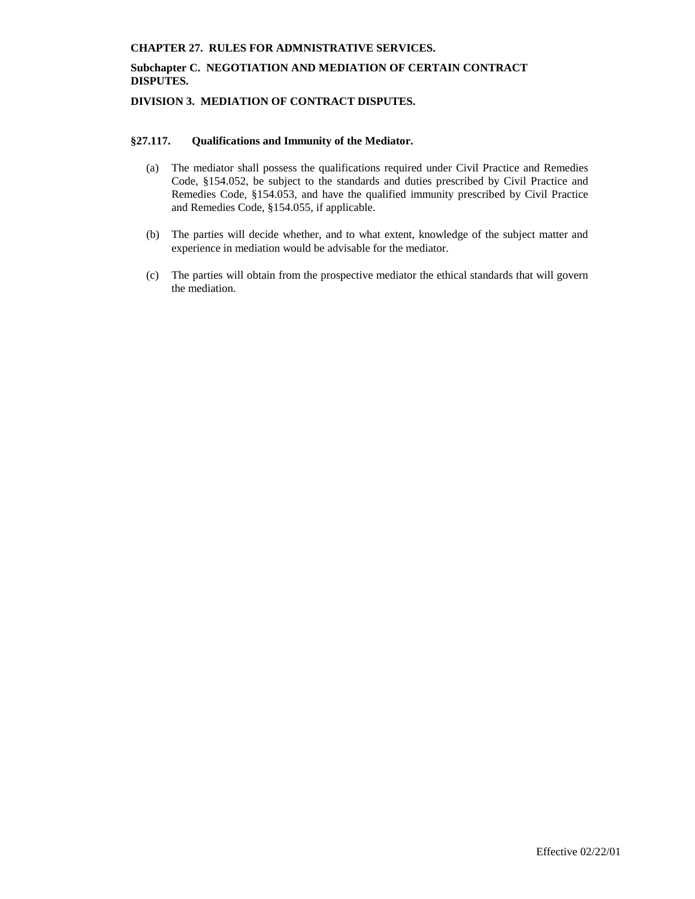# **Subchapter C. NEGOTIATION AND MEDIATION OF CERTAIN CONTRACT DISPUTES.**

# **DIVISION 3. MEDIATION OF CONTRACT DISPUTES.**

### **§27.117. Qualifications and Immunity of the Mediator.**

- (a) The mediator shall possess the qualifications required under Civil Practice and Remedies Code, §154.052, be subject to the standards and duties prescribed by Civil Practice and Remedies Code, §154.053, and have the qualified immunity prescribed by Civil Practice and Remedies Code, §154.055, if applicable.
- (b) The parties will decide whether, and to what extent, knowledge of the subject matter and experience in mediation would be advisable for the mediator.
- (c) The parties will obtain from the prospective mediator the ethical standards that will govern the mediation.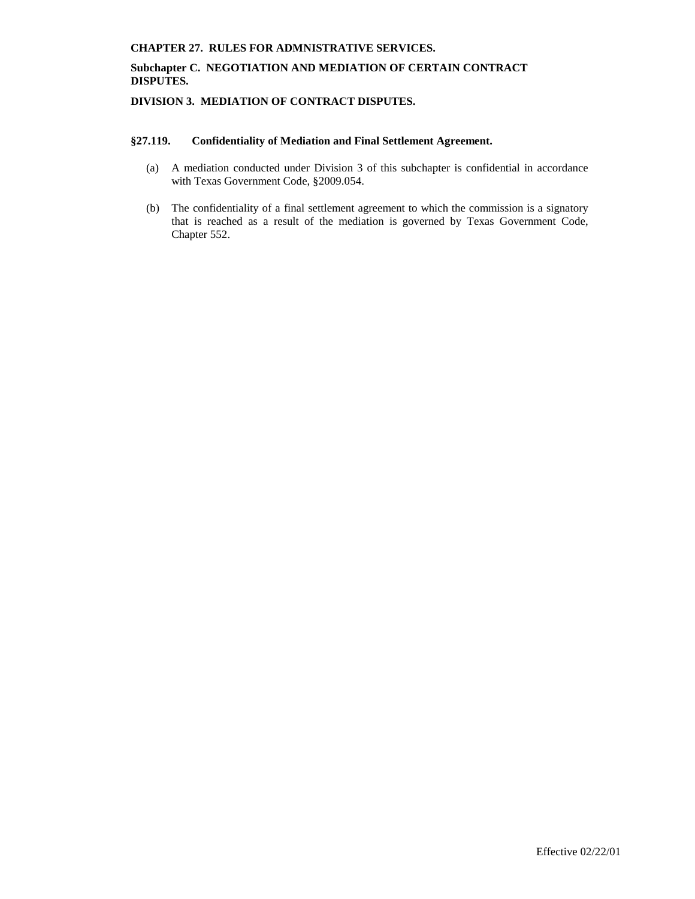# **Subchapter C. NEGOTIATION AND MEDIATION OF CERTAIN CONTRACT DISPUTES.**

# **DIVISION 3. MEDIATION OF CONTRACT DISPUTES.**

# **§27.119. Confidentiality of Mediation and Final Settlement Agreement.**

- (a) A mediation conducted under Division 3 of this subchapter is confidential in accordance with Texas Government Code, §2009.054.
- (b) The confidentiality of a final settlement agreement to which the commission is a signatory that is reached as a result of the mediation is governed by Texas Government Code, Chapter 552.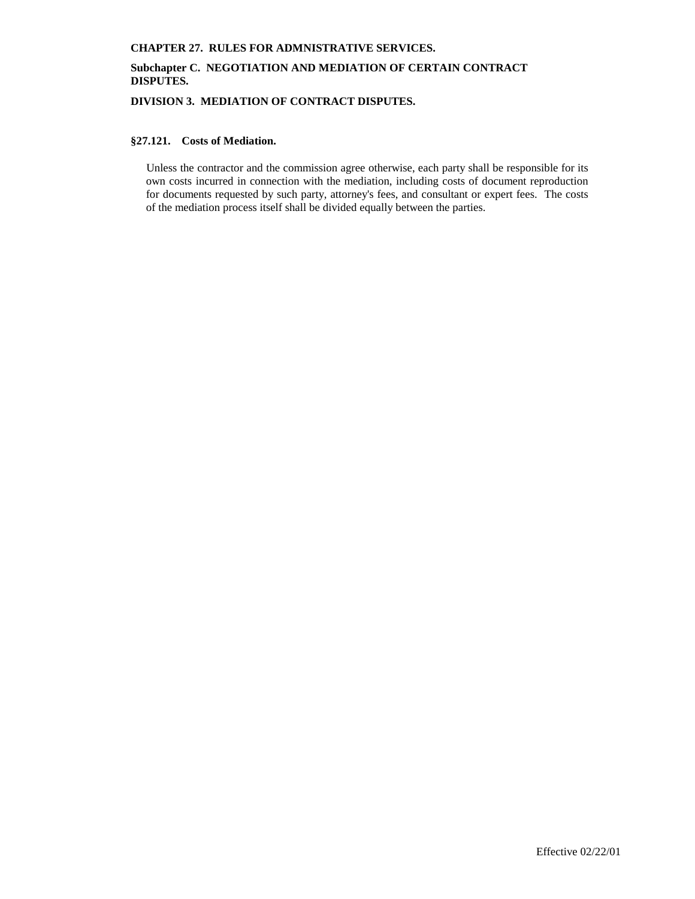# **Subchapter C. NEGOTIATION AND MEDIATION OF CERTAIN CONTRACT DISPUTES.**

**DIVISION 3. MEDIATION OF CONTRACT DISPUTES.**

### **§27.121. Costs of Mediation.**

Unless the contractor and the commission agree otherwise, each party shall be responsible for its own costs incurred in connection with the mediation, including costs of document reproduction for documents requested by such party, attorney's fees, and consultant or expert fees. The costs of the mediation process itself shall be divided equally between the parties.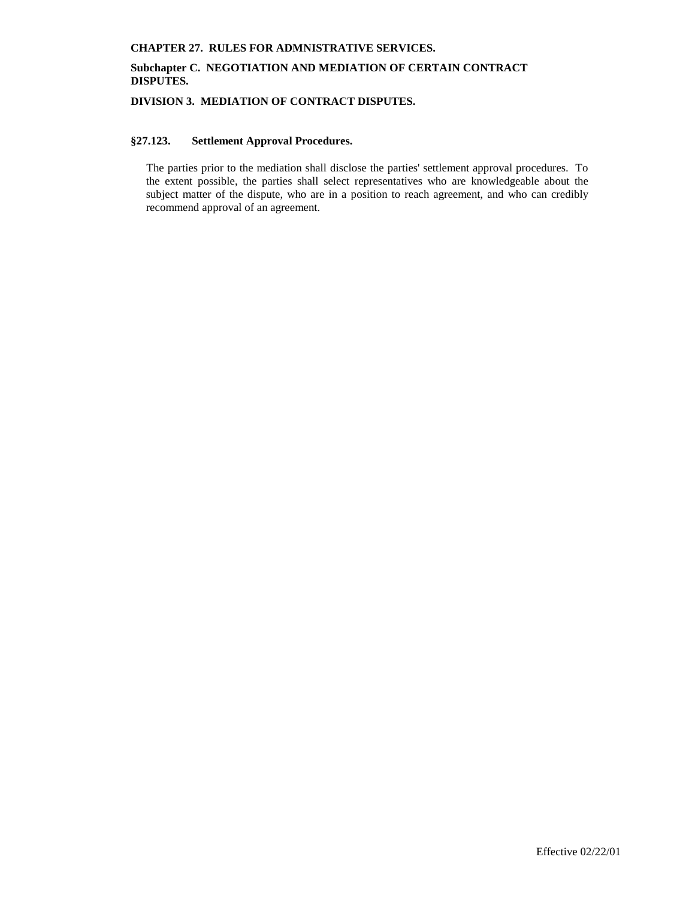# **Subchapter C. NEGOTIATION AND MEDIATION OF CERTAIN CONTRACT DISPUTES.**

**DIVISION 3. MEDIATION OF CONTRACT DISPUTES.**

# **§27.123. Settlement Approval Procedures.**

The parties prior to the mediation shall disclose the parties' settlement approval procedures. To the extent possible, the parties shall select representatives who are knowledgeable about the subject matter of the dispute, who are in a position to reach agreement, and who can credibly recommend approval of an agreement.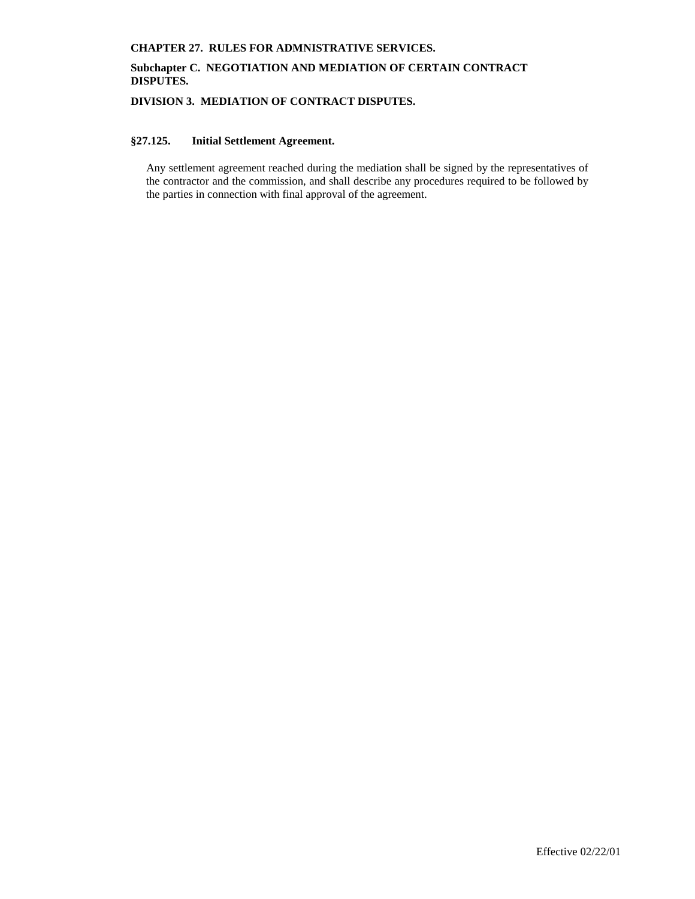# **Subchapter C. NEGOTIATION AND MEDIATION OF CERTAIN CONTRACT DISPUTES.**

**DIVISION 3. MEDIATION OF CONTRACT DISPUTES.**

# **§27.125. Initial Settlement Agreement.**

Any settlement agreement reached during the mediation shall be signed by the representatives of the contractor and the commission, and shall describe any procedures required to be followed by the parties in connection with final approval of the agreement.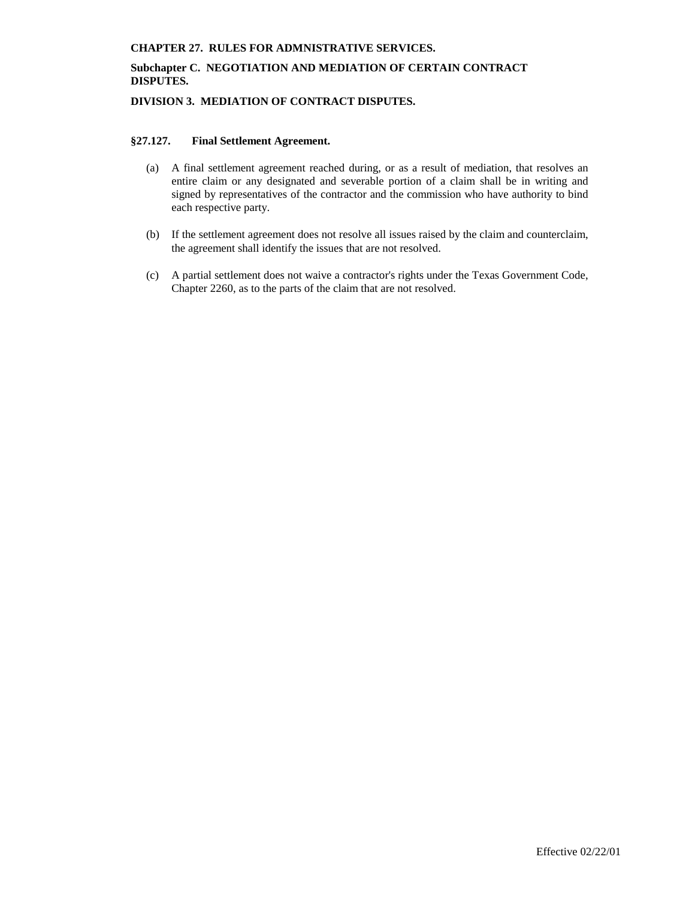# **Subchapter C. NEGOTIATION AND MEDIATION OF CERTAIN CONTRACT DISPUTES.**

## **DIVISION 3. MEDIATION OF CONTRACT DISPUTES.**

### **§27.127. Final Settlement Agreement.**

- (a) A final settlement agreement reached during, or as a result of mediation, that resolves an entire claim or any designated and severable portion of a claim shall be in writing and signed by representatives of the contractor and the commission who have authority to bind each respective party.
- (b) If the settlement agreement does not resolve all issues raised by the claim and counterclaim, the agreement shall identify the issues that are not resolved.
- (c) A partial settlement does not waive a contractor's rights under the Texas Government Code, Chapter 2260, as to the parts of the claim that are not resolved.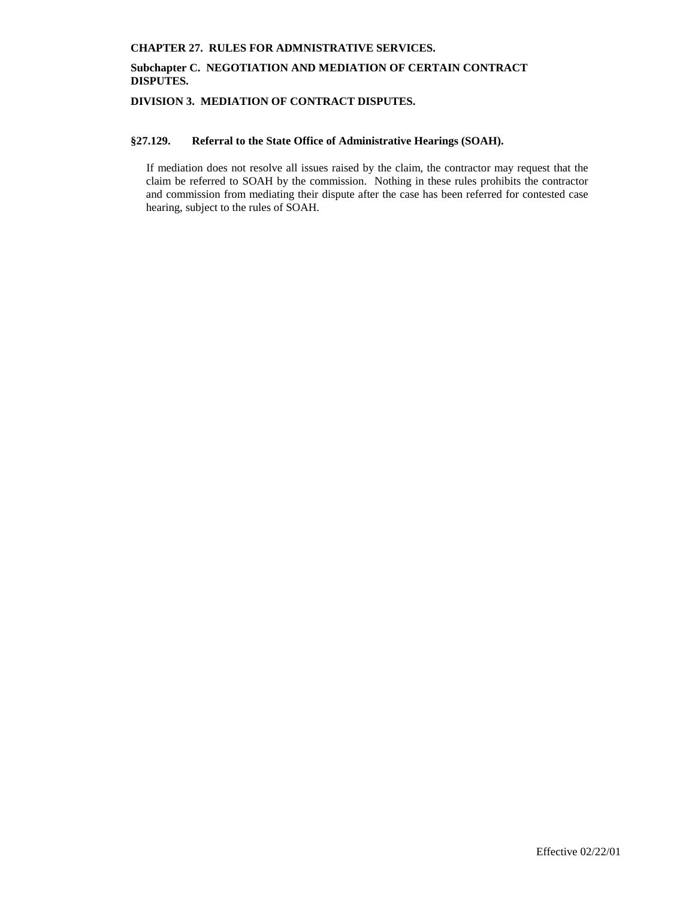# **Subchapter C. NEGOTIATION AND MEDIATION OF CERTAIN CONTRACT DISPUTES.**

**DIVISION 3. MEDIATION OF CONTRACT DISPUTES.**

### **§27.129. Referral to the State Office of Administrative Hearings (SOAH).**

If mediation does not resolve all issues raised by the claim, the contractor may request that the claim be referred to SOAH by the commission. Nothing in these rules prohibits the contractor and commission from mediating their dispute after the case has been referred for contested case hearing, subject to the rules of SOAH.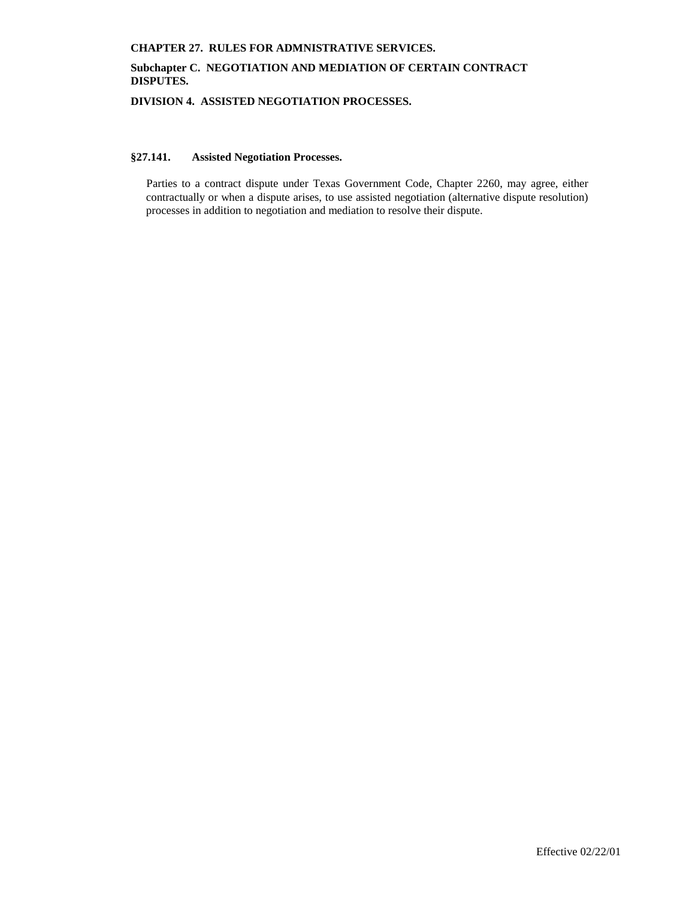# **Subchapter C. NEGOTIATION AND MEDIATION OF CERTAIN CONTRACT DISPUTES.**

**DIVISION 4. ASSISTED NEGOTIATION PROCESSES.**

# **§27.141. Assisted Negotiation Processes.**

Parties to a contract dispute under Texas Government Code, Chapter 2260, may agree, either contractually or when a dispute arises, to use assisted negotiation (alternative dispute resolution) processes in addition to negotiation and mediation to resolve their dispute.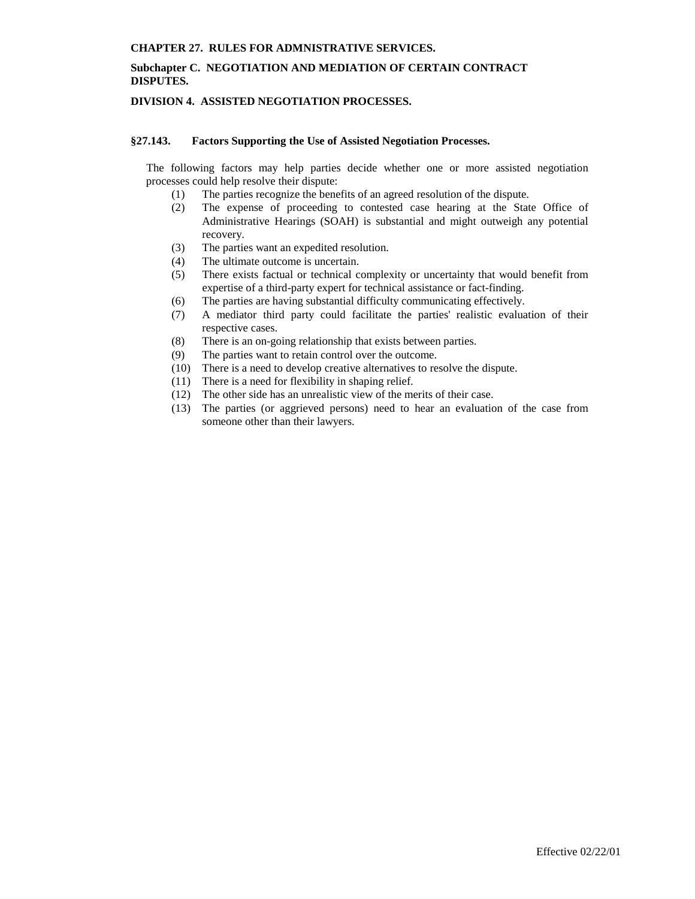## **Subchapter C. NEGOTIATION AND MEDIATION OF CERTAIN CONTRACT DISPUTES.**

# **DIVISION 4. ASSISTED NEGOTIATION PROCESSES.**

### **§27.143. Factors Supporting the Use of Assisted Negotiation Processes.**

The following factors may help parties decide whether one or more assisted negotiation processes could help resolve their dispute:

- (1) The parties recognize the benefits of an agreed resolution of the dispute.
- (2) The expense of proceeding to contested case hearing at the State Office of Administrative Hearings (SOAH) is substantial and might outweigh any potential recovery.
- (3) The parties want an expedited resolution.
- (4) The ultimate outcome is uncertain.
- (5) There exists factual or technical complexity or uncertainty that would benefit from expertise of a third-party expert for technical assistance or fact-finding.
- (6) The parties are having substantial difficulty communicating effectively.
- (7) A mediator third party could facilitate the parties' realistic evaluation of their respective cases.
- (8) There is an on-going relationship that exists between parties.
- (9) The parties want to retain control over the outcome.
- (10) There is a need to develop creative alternatives to resolve the dispute.
- (11) There is a need for flexibility in shaping relief.
- (12) The other side has an unrealistic view of the merits of their case.
- (13) The parties (or aggrieved persons) need to hear an evaluation of the case from someone other than their lawyers.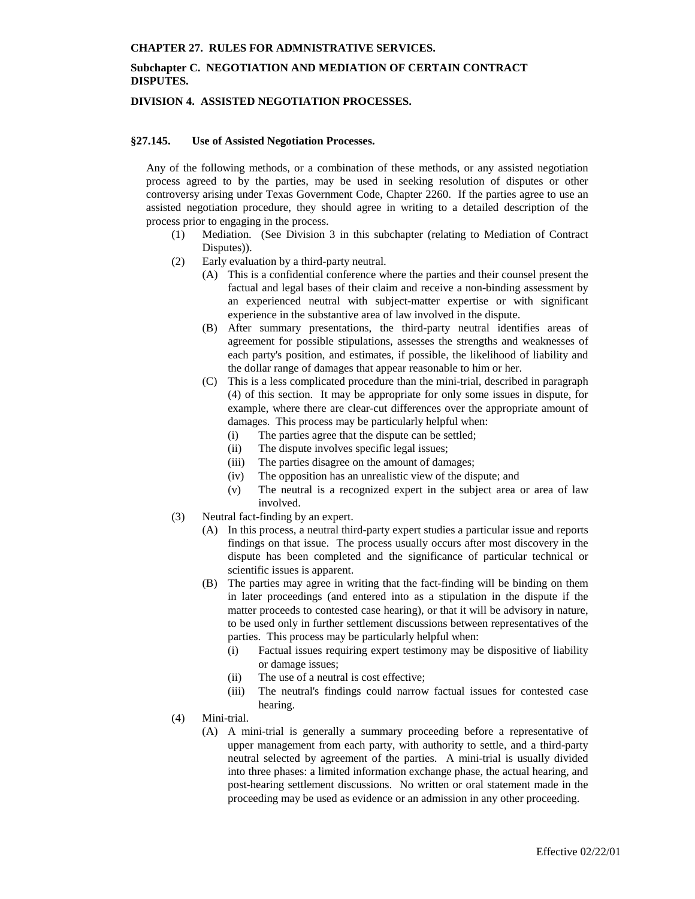## **Subchapter C. NEGOTIATION AND MEDIATION OF CERTAIN CONTRACT DISPUTES.**

### **DIVISION 4. ASSISTED NEGOTIATION PROCESSES.**

#### **§27.145. Use of Assisted Negotiation Processes.**

Any of the following methods, or a combination of these methods, or any assisted negotiation process agreed to by the parties, may be used in seeking resolution of disputes or other controversy arising under Texas Government Code, Chapter 2260. If the parties agree to use an assisted negotiation procedure, they should agree in writing to a detailed description of the process prior to engaging in the process.

- (1) Mediation. (See Division 3 in this subchapter (relating to Mediation of Contract Disputes)).
- (2) Early evaluation by a third-party neutral.
	- (A) This is a confidential conference where the parties and their counsel present the factual and legal bases of their claim and receive a non-binding assessment by an experienced neutral with subject-matter expertise or with significant experience in the substantive area of law involved in the dispute.
	- (B) After summary presentations, the third-party neutral identifies areas of agreement for possible stipulations, assesses the strengths and weaknesses of each party's position, and estimates, if possible, the likelihood of liability and the dollar range of damages that appear reasonable to him or her.
	- (C) This is a less complicated procedure than the mini-trial, described in paragraph (4) of this section. It may be appropriate for only some issues in dispute, for example, where there are clear-cut differences over the appropriate amount of damages. This process may be particularly helpful when:
		- (i) The parties agree that the dispute can be settled;
		- (ii) The dispute involves specific legal issues;
		- (iii) The parties disagree on the amount of damages;
		- (iv) The opposition has an unrealistic view of the dispute; and
		- (v) The neutral is a recognized expert in the subject area or area of law involved.
- (3) Neutral fact-finding by an expert.
	- (A) In this process, a neutral third-party expert studies a particular issue and reports findings on that issue. The process usually occurs after most discovery in the dispute has been completed and the significance of particular technical or scientific issues is apparent.
	- (B) The parties may agree in writing that the fact-finding will be binding on them in later proceedings (and entered into as a stipulation in the dispute if the matter proceeds to contested case hearing), or that it will be advisory in nature, to be used only in further settlement discussions between representatives of the parties. This process may be particularly helpful when:
		- (i) Factual issues requiring expert testimony may be dispositive of liability or damage issues;
		- (ii) The use of a neutral is cost effective;
		- (iii) The neutral's findings could narrow factual issues for contested case hearing.
- (4) Mini-trial.
	- (A) A mini-trial is generally a summary proceeding before a representative of upper management from each party, with authority to settle, and a third-party neutral selected by agreement of the parties. A mini-trial is usually divided into three phases: a limited information exchange phase, the actual hearing, and post-hearing settlement discussions. No written or oral statement made in the proceeding may be used as evidence or an admission in any other proceeding.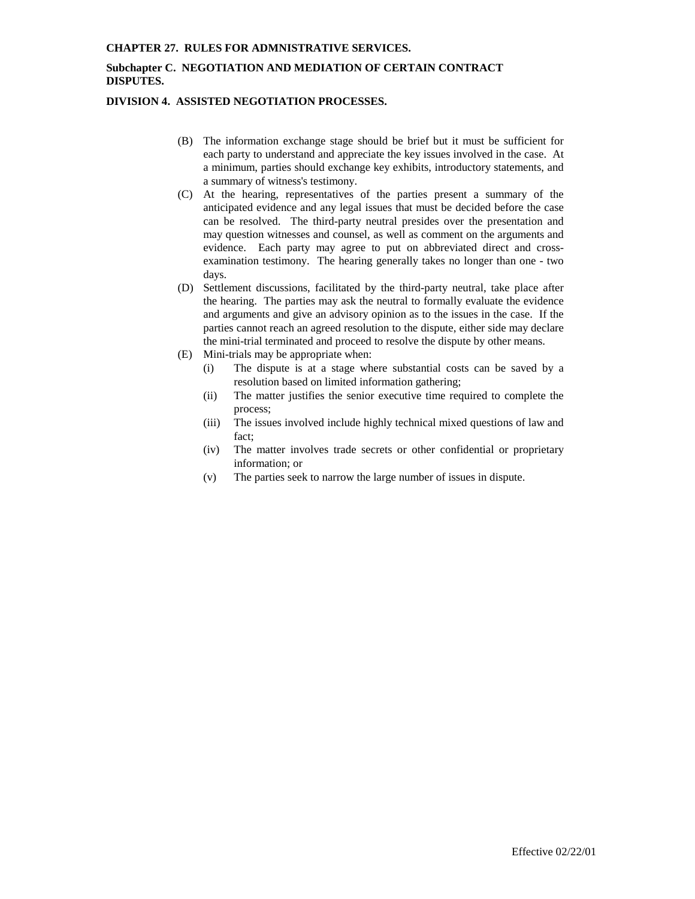# **Subchapter C. NEGOTIATION AND MEDIATION OF CERTAIN CONTRACT DISPUTES.**

### **DIVISION 4. ASSISTED NEGOTIATION PROCESSES.**

- (B) The information exchange stage should be brief but it must be sufficient for each party to understand and appreciate the key issues involved in the case. At a minimum, parties should exchange key exhibits, introductory statements, and a summary of witness's testimony.
- (C) At the hearing, representatives of the parties present a summary of the anticipated evidence and any legal issues that must be decided before the case can be resolved. The third-party neutral presides over the presentation and may question witnesses and counsel, as well as comment on the arguments and evidence. Each party may agree to put on abbreviated direct and crossexamination testimony. The hearing generally takes no longer than one - two days.
- (D) Settlement discussions, facilitated by the third-party neutral, take place after the hearing. The parties may ask the neutral to formally evaluate the evidence and arguments and give an advisory opinion as to the issues in the case. If the parties cannot reach an agreed resolution to the dispute, either side may declare the mini-trial terminated and proceed to resolve the dispute by other means.
- (E) Mini-trials may be appropriate when:
	- (i) The dispute is at a stage where substantial costs can be saved by a resolution based on limited information gathering;
	- (ii) The matter justifies the senior executive time required to complete the process;
	- (iii) The issues involved include highly technical mixed questions of law and fact;
	- (iv) The matter involves trade secrets or other confidential or proprietary information; or
	- (v) The parties seek to narrow the large number of issues in dispute.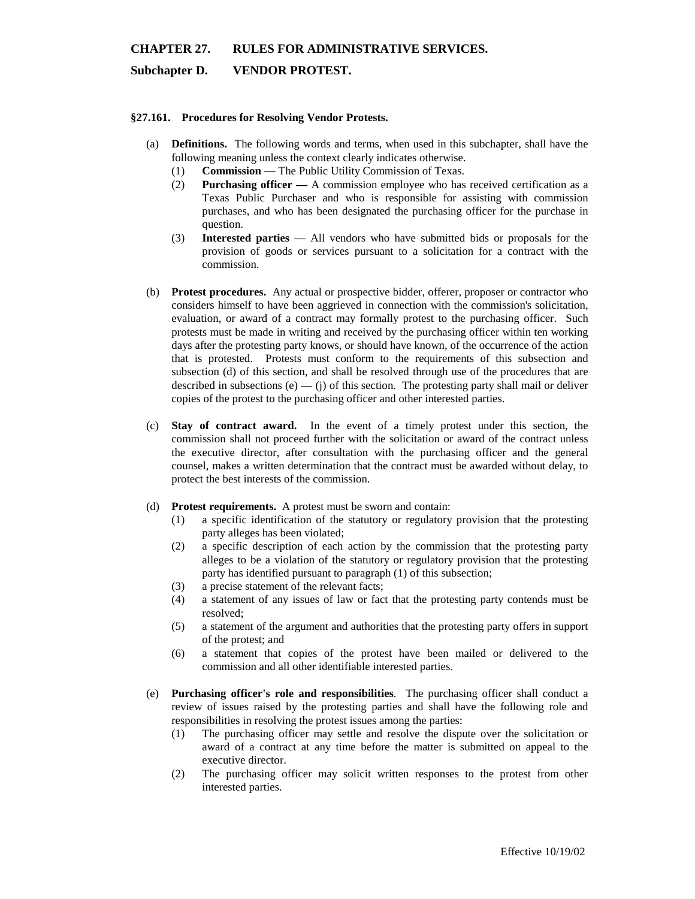## **Subchapter D. VENDOR PROTEST.**

### **§27.161. Procedures for Resolving Vendor Protests.**

- (a) **Definitions.** The following words and terms, when used in this subchapter, shall have the following meaning unless the context clearly indicates otherwise.
	- (1) **Commission** The Public Utility Commission of Texas.
	- (2) **Purchasing officer —** A commission employee who has received certification as a Texas Public Purchaser and who is responsible for assisting with commission purchases, and who has been designated the purchasing officer for the purchase in question.
	- (3) **Interested parties** All vendors who have submitted bids or proposals for the provision of goods or services pursuant to a solicitation for a contract with the commission.
- (b) **Protest procedures.** Any actual or prospective bidder, offerer, proposer or contractor who considers himself to have been aggrieved in connection with the commission's solicitation, evaluation, or award of a contract may formally protest to the purchasing officer. Such protests must be made in writing and received by the purchasing officer within ten working days after the protesting party knows, or should have known, of the occurrence of the action that is protested. Protests must conform to the requirements of this subsection and subsection (d) of this section, and shall be resolved through use of the procedures that are described in subsections (e) — (j) of this section. The protesting party shall mail or deliver copies of the protest to the purchasing officer and other interested parties.
- (c) **Stay of contract award.** In the event of a timely protest under this section, the commission shall not proceed further with the solicitation or award of the contract unless the executive director, after consultation with the purchasing officer and the general counsel, makes a written determination that the contract must be awarded without delay, to protect the best interests of the commission.
- (d) **Protest requirements.** A protest must be sworn and contain:
	- (1) a specific identification of the statutory or regulatory provision that the protesting party alleges has been violated;
	- (2) a specific description of each action by the commission that the protesting party alleges to be a violation of the statutory or regulatory provision that the protesting party has identified pursuant to paragraph (1) of this subsection;
	- (3) a precise statement of the relevant facts;
	- (4) a statement of any issues of law or fact that the protesting party contends must be resolved;
	- (5) a statement of the argument and authorities that the protesting party offers in support of the protest; and
	- (6) a statement that copies of the protest have been mailed or delivered to the commission and all other identifiable interested parties.
- (e) **Purchasing officer's role and responsibilities**. The purchasing officer shall conduct a review of issues raised by the protesting parties and shall have the following role and responsibilities in resolving the protest issues among the parties:
	- (1) The purchasing officer may settle and resolve the dispute over the solicitation or award of a contract at any time before the matter is submitted on appeal to the executive director.
	- (2) The purchasing officer may solicit written responses to the protest from other interested parties.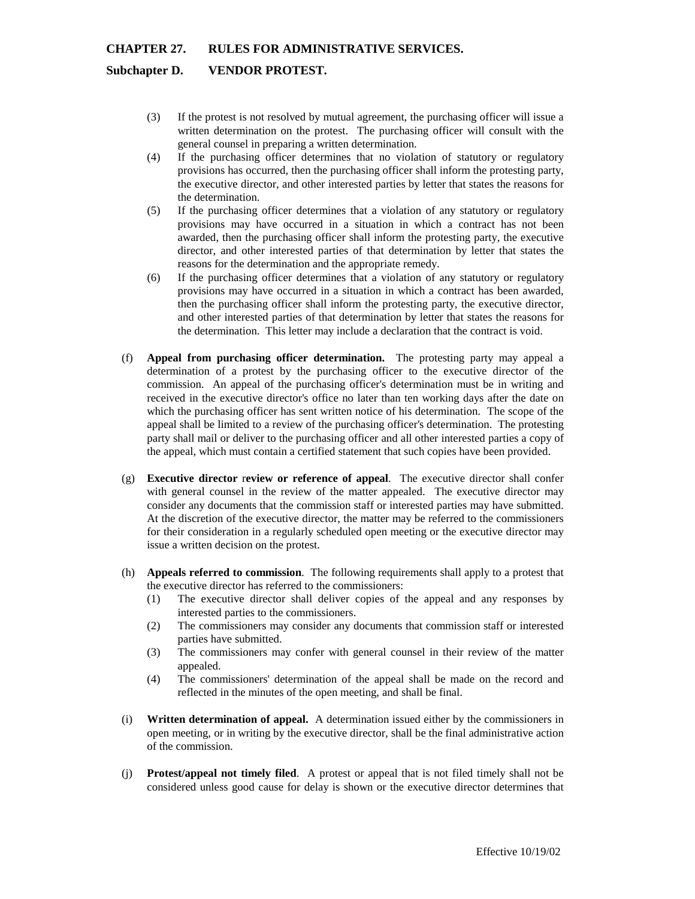### **Subchapter D. VENDOR PROTEST.**

- (3) If the protest is not resolved by mutual agreement, the purchasing officer will issue a written determination on the protest. The purchasing officer will consult with the general counsel in preparing a written determination.
- (4) If the purchasing officer determines that no violation of statutory or regulatory provisions has occurred, then the purchasing officer shall inform the protesting party, the executive director, and other interested parties by letter that states the reasons for the determination.
- (5) If the purchasing officer determines that a violation of any statutory or regulatory provisions may have occurred in a situation in which a contract has not been awarded, then the purchasing officer shall inform the protesting party, the executive director, and other interested parties of that determination by letter that states the reasons for the determination and the appropriate remedy.
- (6) If the purchasing officer determines that a violation of any statutory or regulatory provisions may have occurred in a situation in which a contract has been awarded, then the purchasing officer shall inform the protesting party, the executive director, and other interested parties of that determination by letter that states the reasons for the determination. This letter may include a declaration that the contract is void.
- (f) **Appeal from purchasing officer determination.** The protesting party may appeal a determination of a protest by the purchasing officer to the executive director of the commission. An appeal of the purchasing officer's determination must be in writing and received in the executive director's office no later than ten working days after the date on which the purchasing officer has sent written notice of his determination. The scope of the appeal shall be limited to a review of the purchasing officer's determination. The protesting party shall mail or deliver to the purchasing officer and all other interested parties a copy of the appeal, which must contain a certified statement that such copies have been provided.
- (g) **Executive director** r**eview or reference of appeal**. The executive director shall confer with general counsel in the review of the matter appealed. The executive director may consider any documents that the commission staff or interested parties may have submitted. At the discretion of the executive director, the matter may be referred to the commissioners for their consideration in a regularly scheduled open meeting or the executive director may issue a written decision on the protest.
- (h) **Appeals referred to commission**. The following requirements shall apply to a protest that the executive director has referred to the commissioners:
	- (1) The executive director shall deliver copies of the appeal and any responses by interested parties to the commissioners.
	- (2) The commissioners may consider any documents that commission staff or interested parties have submitted.
	- (3) The commissioners may confer with general counsel in their review of the matter appealed.
	- (4) The commissioners' determination of the appeal shall be made on the record and reflected in the minutes of the open meeting, and shall be final.
- (i) **Written determination of appeal.** A determination issued either by the commissioners in open meeting, or in writing by the executive director, shall be the final administrative action of the commission.
- (j) **Protest/appeal not timely filed**. A protest or appeal that is not filed timely shall not be considered unless good cause for delay is shown or the executive director determines that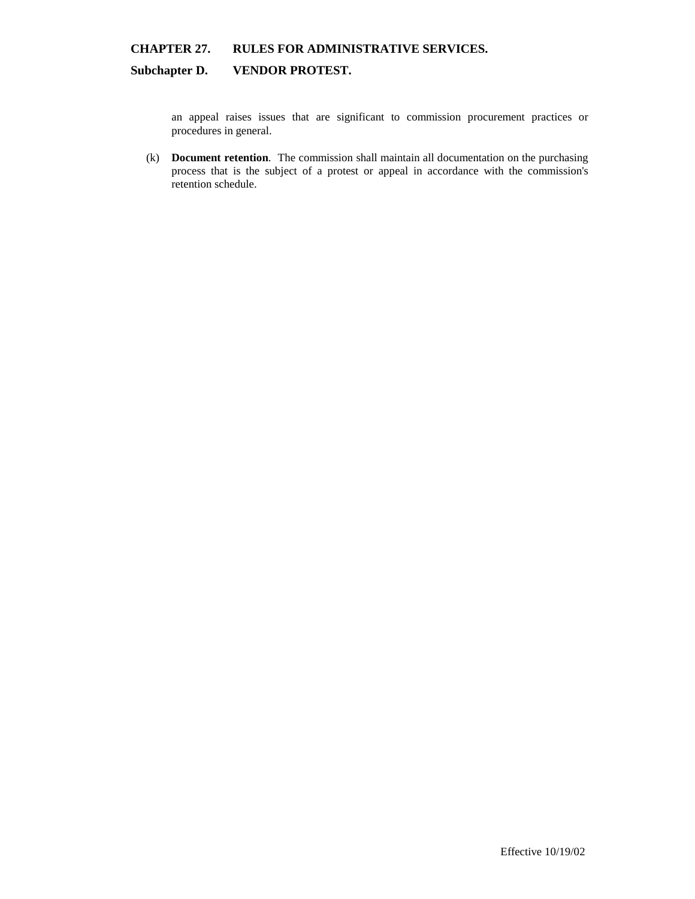# **Subchapter D. VENDOR PROTEST.**

an appeal raises issues that are significant to commission procurement practices or procedures in general.

(k) **Document retention**. The commission shall maintain all documentation on the purchasing process that is the subject of a protest or appeal in accordance with the commission's retention schedule.